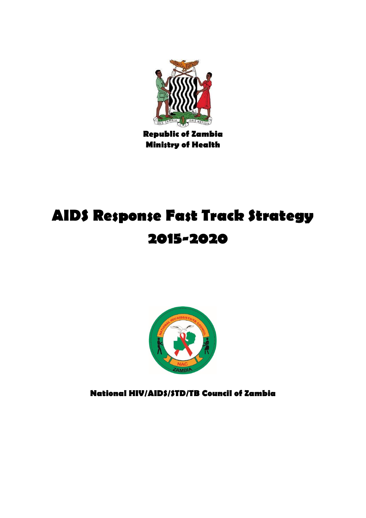

**Republic of Zambia Ministry of Health**

# **AIDS Response Fast Track Strategy 2015-2020**



**National HIV/AIDS/STD/TB Council of Zambia**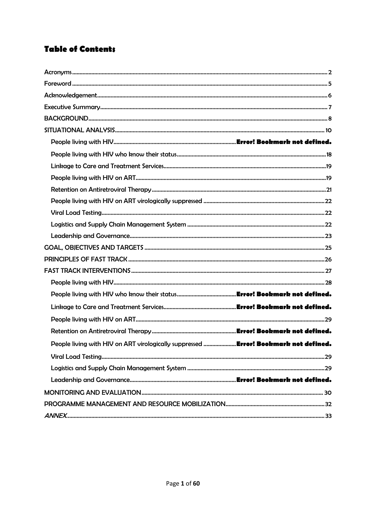# **Table of Contents**

<span id="page-1-0"></span>

| People living with HIV on ART virologically suppressed  Error! Bookmark not defined. |  |
|--------------------------------------------------------------------------------------|--|
|                                                                                      |  |
|                                                                                      |  |
|                                                                                      |  |
|                                                                                      |  |
|                                                                                      |  |
|                                                                                      |  |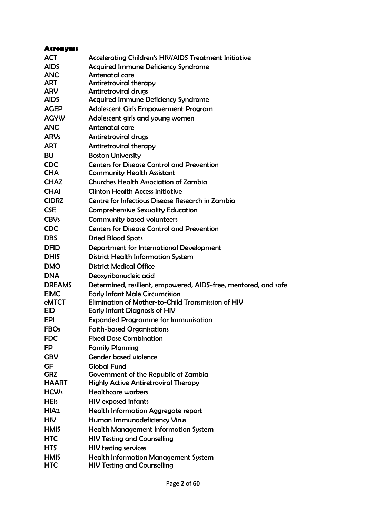| <b>Acronyms</b>  |                                                                 |
|------------------|-----------------------------------------------------------------|
| <b>ACT</b>       | <b>Accelerating Children's HIV/AIDS Treatment Initiative</b>    |
| <b>AIDS</b>      | <b>Acquired Immune Deficiency Syndrome</b>                      |
| <b>ANC</b>       | Antenatal care                                                  |
| <b>ART</b>       | <b>Antiretroviral therapy</b>                                   |
| <b>ARV</b>       | <b>Antiretroviral drugs</b>                                     |
| <b>AIDS</b>      | <b>Acquired Immune Deficiency Syndrome</b>                      |
| <b>AGEP</b>      | <b>Adolescent Girls Empowerment Program</b>                     |
| <b>AGYW</b>      | Adolescent girls and young women                                |
| <b>ANC</b>       | Antenatal care                                                  |
| <b>ARVs</b>      | <b>Antiretroviral drugs</b>                                     |
| <b>ART</b>       | <b>Antiretroviral therapy</b>                                   |
| <b>BU</b>        | <b>Boston University</b>                                        |
| <b>CDC</b>       | <b>Centers for Disease Control and Prevention</b>               |
| <b>CHA</b>       | <b>Community Health Assistant</b>                               |
| <b>CHAZ</b>      | <b>Churches Health Association of Zambia</b>                    |
| <b>CHAI</b>      | <b>Clinton Health Access Initiative</b>                         |
| <b>CIDRZ</b>     | Centre for Infectious Disease Research in Zambia                |
| <b>CSE</b>       | <b>Comprehensive Sexuality Education</b>                        |
| <b>CBVs</b>      | <b>Community based volunteers</b>                               |
| <b>CDC</b>       | <b>Centers for Disease Control and Prevention</b>               |
| <b>DBS</b>       | <b>Dried Blood Spots</b>                                        |
| <b>DFID</b>      | Department for International Development                        |
| <b>DHIS</b>      | <b>District Health Information System</b>                       |
| <b>DMO</b>       | <b>District Medical Office</b>                                  |
| <b>DNA</b>       | Deoxyribonucleic acid                                           |
| <b>DREAMS</b>    | Determined, resilient, empowered, AIDS-free, mentored, and safe |
| <b>EIMC</b>      | <b>Early Infant Male Circumcision</b>                           |
| eMTCT            | Elimination of Mother-to-Child Transmission of HIV              |
| <b>EID</b>       | <b>Early Infant Diagnosis of HIV</b>                            |
| EPI              | <b>Expanded Programme for Immunisation</b>                      |
| <b>FBOs</b>      | <b>Faith-based Organisations</b>                                |
| <b>FDC</b>       | <b>Fixed Dose Combination</b>                                   |
| FP               | <b>Family Planning</b>                                          |
| <b>GBV</b>       | <b>Gender based violence</b>                                    |
| <b>GF</b>        | <b>Global Fund</b>                                              |
| <b>GRZ</b>       | Government of the Republic of Zambia                            |
| <b>HAART</b>     | <b>Highly Active Antiretroviral Therapy</b>                     |
| <b>HCWs</b>      | <b>Healthcare workers</b>                                       |
| <b>HEIs</b>      | <b>HIV</b> exposed infants                                      |
| HIA <sub>2</sub> | <b>Health Information Aggregate report</b>                      |
| <b>HIV</b>       | Human Immunodeficiency Virus                                    |
| <b>HMIS</b>      | <b>Health Management Information System</b>                     |
| <b>HTC</b>       | <b>HIV Testing and Counselling</b>                              |
| <b>HTS</b>       | <b>HIV testing services</b>                                     |
| <b>HMIS</b>      | <b>Health Information Management System</b>                     |
| <b>HTC</b>       | <b>HIV Testing and Counselling</b>                              |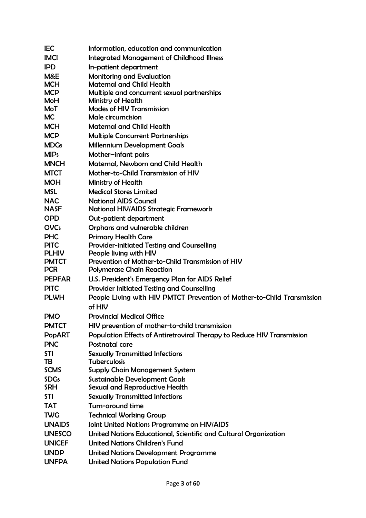| <b>IMCI</b><br><b>Integrated Management of Childhood Illness</b><br><b>IPD</b><br>In-patient department<br>M&E<br><b>Monitoring and Evaluation</b><br><b>MCH</b><br><b>Maternal and Child Health</b><br><b>MCP</b><br>Multiple and concurrent sexual partnerships<br>MoH<br><b>Ministry of Health</b><br><b>Modes of HIV Transmission</b><br>MoT<br><b>MC</b><br>Male circumcision<br><b>MCH</b><br><b>Maternal and Child Health</b><br><b>MCP</b><br><b>Multiple Concurrent Partnerships</b><br><b>MDGs</b><br><b>Millennium Development Goals</b><br><b>MIPs</b><br>Mother-infant pairs<br><b>MNCH</b><br>Maternal, Newborn and Child Health<br>Mother-to-Child Transmission of HIV<br><b>MTCT</b><br><b>MOH</b><br>Ministry of Health<br><b>MSL</b><br><b>Medical Stores Limited</b><br><b>NAC</b><br><b>National AIDS Council</b><br><b>NASF</b><br><b>National HIV/AIDS Strategic Framework</b><br><b>OPD</b><br>Out-patient department<br><b>OVCs</b><br>Orphans and vulnerable children<br><b>PHC</b><br><b>Primary Health Care</b><br><b>PITC</b><br><b>Provider-initiated Testing and Counselling</b><br><b>PLHIV</b><br>People living with HIV<br>Prevention of Mother-to-Child Transmission of HIV<br><b>PMTCT</b><br><b>PCR</b><br><b>Polymerase Chain Reaction</b><br><b>PEPFAR</b><br>U.S. President's Emergency Plan for AIDS Relief<br><b>PITC</b><br><b>Provider Initiated Testing and Counselling</b><br><b>PLWH</b><br>People Living with HIV PMTCT Prevention of Mother-to-Child Transmission<br>of HIV<br><b>PMO</b><br><b>Provincial Medical Office</b><br><b>PMTCT</b><br>HIV prevention of mother-to-child transmission<br><b>PopART</b><br>Population Effects of Antiretroviral Therapy to Reduce HIV Transmission<br><b>PNC</b><br>Postnatal care<br><b>STI</b><br><b>Sexually Transmitted Infections</b><br>TB<br><b>Tuberculosis</b><br><b>SCMS</b><br>Supply Chain Management System<br><b>SDGs</b><br><b>Sustainable Development Goals</b><br><b>SRH</b><br>Sexual and Reproductive Health<br>STI<br><b>Sexually Transmitted Infections</b><br>Turn-around time<br><b>TAT</b><br><b>TWG</b><br><b>Technical Working Group</b><br><b>UNAIDS</b><br>Joint United Nations Programme on HIV/AIDS<br><b>UNESCO</b><br>United Nations Educational, Scientific and Cultural Organization | <b>IEC</b> | Information, education and communication |
|-----------------------------------------------------------------------------------------------------------------------------------------------------------------------------------------------------------------------------------------------------------------------------------------------------------------------------------------------------------------------------------------------------------------------------------------------------------------------------------------------------------------------------------------------------------------------------------------------------------------------------------------------------------------------------------------------------------------------------------------------------------------------------------------------------------------------------------------------------------------------------------------------------------------------------------------------------------------------------------------------------------------------------------------------------------------------------------------------------------------------------------------------------------------------------------------------------------------------------------------------------------------------------------------------------------------------------------------------------------------------------------------------------------------------------------------------------------------------------------------------------------------------------------------------------------------------------------------------------------------------------------------------------------------------------------------------------------------------------------------------------------------------------------------------------------------------------------------------------------------------------------------------------------------------------------------------------------------------------------------------------------------------------------------------------------------------------------------------------------------------------------------------------------------------------------------------------------------------------------------------------------------------------------------------------------------|------------|------------------------------------------|
|                                                                                                                                                                                                                                                                                                                                                                                                                                                                                                                                                                                                                                                                                                                                                                                                                                                                                                                                                                                                                                                                                                                                                                                                                                                                                                                                                                                                                                                                                                                                                                                                                                                                                                                                                                                                                                                                                                                                                                                                                                                                                                                                                                                                                                                                                                                 |            |                                          |
|                                                                                                                                                                                                                                                                                                                                                                                                                                                                                                                                                                                                                                                                                                                                                                                                                                                                                                                                                                                                                                                                                                                                                                                                                                                                                                                                                                                                                                                                                                                                                                                                                                                                                                                                                                                                                                                                                                                                                                                                                                                                                                                                                                                                                                                                                                                 |            |                                          |
|                                                                                                                                                                                                                                                                                                                                                                                                                                                                                                                                                                                                                                                                                                                                                                                                                                                                                                                                                                                                                                                                                                                                                                                                                                                                                                                                                                                                                                                                                                                                                                                                                                                                                                                                                                                                                                                                                                                                                                                                                                                                                                                                                                                                                                                                                                                 |            |                                          |
|                                                                                                                                                                                                                                                                                                                                                                                                                                                                                                                                                                                                                                                                                                                                                                                                                                                                                                                                                                                                                                                                                                                                                                                                                                                                                                                                                                                                                                                                                                                                                                                                                                                                                                                                                                                                                                                                                                                                                                                                                                                                                                                                                                                                                                                                                                                 |            |                                          |
|                                                                                                                                                                                                                                                                                                                                                                                                                                                                                                                                                                                                                                                                                                                                                                                                                                                                                                                                                                                                                                                                                                                                                                                                                                                                                                                                                                                                                                                                                                                                                                                                                                                                                                                                                                                                                                                                                                                                                                                                                                                                                                                                                                                                                                                                                                                 |            |                                          |
|                                                                                                                                                                                                                                                                                                                                                                                                                                                                                                                                                                                                                                                                                                                                                                                                                                                                                                                                                                                                                                                                                                                                                                                                                                                                                                                                                                                                                                                                                                                                                                                                                                                                                                                                                                                                                                                                                                                                                                                                                                                                                                                                                                                                                                                                                                                 |            |                                          |
|                                                                                                                                                                                                                                                                                                                                                                                                                                                                                                                                                                                                                                                                                                                                                                                                                                                                                                                                                                                                                                                                                                                                                                                                                                                                                                                                                                                                                                                                                                                                                                                                                                                                                                                                                                                                                                                                                                                                                                                                                                                                                                                                                                                                                                                                                                                 |            |                                          |
|                                                                                                                                                                                                                                                                                                                                                                                                                                                                                                                                                                                                                                                                                                                                                                                                                                                                                                                                                                                                                                                                                                                                                                                                                                                                                                                                                                                                                                                                                                                                                                                                                                                                                                                                                                                                                                                                                                                                                                                                                                                                                                                                                                                                                                                                                                                 |            |                                          |
|                                                                                                                                                                                                                                                                                                                                                                                                                                                                                                                                                                                                                                                                                                                                                                                                                                                                                                                                                                                                                                                                                                                                                                                                                                                                                                                                                                                                                                                                                                                                                                                                                                                                                                                                                                                                                                                                                                                                                                                                                                                                                                                                                                                                                                                                                                                 |            |                                          |
|                                                                                                                                                                                                                                                                                                                                                                                                                                                                                                                                                                                                                                                                                                                                                                                                                                                                                                                                                                                                                                                                                                                                                                                                                                                                                                                                                                                                                                                                                                                                                                                                                                                                                                                                                                                                                                                                                                                                                                                                                                                                                                                                                                                                                                                                                                                 |            |                                          |
|                                                                                                                                                                                                                                                                                                                                                                                                                                                                                                                                                                                                                                                                                                                                                                                                                                                                                                                                                                                                                                                                                                                                                                                                                                                                                                                                                                                                                                                                                                                                                                                                                                                                                                                                                                                                                                                                                                                                                                                                                                                                                                                                                                                                                                                                                                                 |            |                                          |
|                                                                                                                                                                                                                                                                                                                                                                                                                                                                                                                                                                                                                                                                                                                                                                                                                                                                                                                                                                                                                                                                                                                                                                                                                                                                                                                                                                                                                                                                                                                                                                                                                                                                                                                                                                                                                                                                                                                                                                                                                                                                                                                                                                                                                                                                                                                 |            |                                          |
|                                                                                                                                                                                                                                                                                                                                                                                                                                                                                                                                                                                                                                                                                                                                                                                                                                                                                                                                                                                                                                                                                                                                                                                                                                                                                                                                                                                                                                                                                                                                                                                                                                                                                                                                                                                                                                                                                                                                                                                                                                                                                                                                                                                                                                                                                                                 |            |                                          |
|                                                                                                                                                                                                                                                                                                                                                                                                                                                                                                                                                                                                                                                                                                                                                                                                                                                                                                                                                                                                                                                                                                                                                                                                                                                                                                                                                                                                                                                                                                                                                                                                                                                                                                                                                                                                                                                                                                                                                                                                                                                                                                                                                                                                                                                                                                                 |            |                                          |
|                                                                                                                                                                                                                                                                                                                                                                                                                                                                                                                                                                                                                                                                                                                                                                                                                                                                                                                                                                                                                                                                                                                                                                                                                                                                                                                                                                                                                                                                                                                                                                                                                                                                                                                                                                                                                                                                                                                                                                                                                                                                                                                                                                                                                                                                                                                 |            |                                          |
|                                                                                                                                                                                                                                                                                                                                                                                                                                                                                                                                                                                                                                                                                                                                                                                                                                                                                                                                                                                                                                                                                                                                                                                                                                                                                                                                                                                                                                                                                                                                                                                                                                                                                                                                                                                                                                                                                                                                                                                                                                                                                                                                                                                                                                                                                                                 |            |                                          |
|                                                                                                                                                                                                                                                                                                                                                                                                                                                                                                                                                                                                                                                                                                                                                                                                                                                                                                                                                                                                                                                                                                                                                                                                                                                                                                                                                                                                                                                                                                                                                                                                                                                                                                                                                                                                                                                                                                                                                                                                                                                                                                                                                                                                                                                                                                                 |            |                                          |
|                                                                                                                                                                                                                                                                                                                                                                                                                                                                                                                                                                                                                                                                                                                                                                                                                                                                                                                                                                                                                                                                                                                                                                                                                                                                                                                                                                                                                                                                                                                                                                                                                                                                                                                                                                                                                                                                                                                                                                                                                                                                                                                                                                                                                                                                                                                 |            |                                          |
|                                                                                                                                                                                                                                                                                                                                                                                                                                                                                                                                                                                                                                                                                                                                                                                                                                                                                                                                                                                                                                                                                                                                                                                                                                                                                                                                                                                                                                                                                                                                                                                                                                                                                                                                                                                                                                                                                                                                                                                                                                                                                                                                                                                                                                                                                                                 |            |                                          |
|                                                                                                                                                                                                                                                                                                                                                                                                                                                                                                                                                                                                                                                                                                                                                                                                                                                                                                                                                                                                                                                                                                                                                                                                                                                                                                                                                                                                                                                                                                                                                                                                                                                                                                                                                                                                                                                                                                                                                                                                                                                                                                                                                                                                                                                                                                                 |            |                                          |
|                                                                                                                                                                                                                                                                                                                                                                                                                                                                                                                                                                                                                                                                                                                                                                                                                                                                                                                                                                                                                                                                                                                                                                                                                                                                                                                                                                                                                                                                                                                                                                                                                                                                                                                                                                                                                                                                                                                                                                                                                                                                                                                                                                                                                                                                                                                 |            |                                          |
|                                                                                                                                                                                                                                                                                                                                                                                                                                                                                                                                                                                                                                                                                                                                                                                                                                                                                                                                                                                                                                                                                                                                                                                                                                                                                                                                                                                                                                                                                                                                                                                                                                                                                                                                                                                                                                                                                                                                                                                                                                                                                                                                                                                                                                                                                                                 |            |                                          |
|                                                                                                                                                                                                                                                                                                                                                                                                                                                                                                                                                                                                                                                                                                                                                                                                                                                                                                                                                                                                                                                                                                                                                                                                                                                                                                                                                                                                                                                                                                                                                                                                                                                                                                                                                                                                                                                                                                                                                                                                                                                                                                                                                                                                                                                                                                                 |            |                                          |
|                                                                                                                                                                                                                                                                                                                                                                                                                                                                                                                                                                                                                                                                                                                                                                                                                                                                                                                                                                                                                                                                                                                                                                                                                                                                                                                                                                                                                                                                                                                                                                                                                                                                                                                                                                                                                                                                                                                                                                                                                                                                                                                                                                                                                                                                                                                 |            |                                          |
|                                                                                                                                                                                                                                                                                                                                                                                                                                                                                                                                                                                                                                                                                                                                                                                                                                                                                                                                                                                                                                                                                                                                                                                                                                                                                                                                                                                                                                                                                                                                                                                                                                                                                                                                                                                                                                                                                                                                                                                                                                                                                                                                                                                                                                                                                                                 |            |                                          |
|                                                                                                                                                                                                                                                                                                                                                                                                                                                                                                                                                                                                                                                                                                                                                                                                                                                                                                                                                                                                                                                                                                                                                                                                                                                                                                                                                                                                                                                                                                                                                                                                                                                                                                                                                                                                                                                                                                                                                                                                                                                                                                                                                                                                                                                                                                                 |            |                                          |
|                                                                                                                                                                                                                                                                                                                                                                                                                                                                                                                                                                                                                                                                                                                                                                                                                                                                                                                                                                                                                                                                                                                                                                                                                                                                                                                                                                                                                                                                                                                                                                                                                                                                                                                                                                                                                                                                                                                                                                                                                                                                                                                                                                                                                                                                                                                 |            |                                          |
|                                                                                                                                                                                                                                                                                                                                                                                                                                                                                                                                                                                                                                                                                                                                                                                                                                                                                                                                                                                                                                                                                                                                                                                                                                                                                                                                                                                                                                                                                                                                                                                                                                                                                                                                                                                                                                                                                                                                                                                                                                                                                                                                                                                                                                                                                                                 |            |                                          |
|                                                                                                                                                                                                                                                                                                                                                                                                                                                                                                                                                                                                                                                                                                                                                                                                                                                                                                                                                                                                                                                                                                                                                                                                                                                                                                                                                                                                                                                                                                                                                                                                                                                                                                                                                                                                                                                                                                                                                                                                                                                                                                                                                                                                                                                                                                                 |            |                                          |
|                                                                                                                                                                                                                                                                                                                                                                                                                                                                                                                                                                                                                                                                                                                                                                                                                                                                                                                                                                                                                                                                                                                                                                                                                                                                                                                                                                                                                                                                                                                                                                                                                                                                                                                                                                                                                                                                                                                                                                                                                                                                                                                                                                                                                                                                                                                 |            |                                          |
|                                                                                                                                                                                                                                                                                                                                                                                                                                                                                                                                                                                                                                                                                                                                                                                                                                                                                                                                                                                                                                                                                                                                                                                                                                                                                                                                                                                                                                                                                                                                                                                                                                                                                                                                                                                                                                                                                                                                                                                                                                                                                                                                                                                                                                                                                                                 |            |                                          |
|                                                                                                                                                                                                                                                                                                                                                                                                                                                                                                                                                                                                                                                                                                                                                                                                                                                                                                                                                                                                                                                                                                                                                                                                                                                                                                                                                                                                                                                                                                                                                                                                                                                                                                                                                                                                                                                                                                                                                                                                                                                                                                                                                                                                                                                                                                                 |            |                                          |
|                                                                                                                                                                                                                                                                                                                                                                                                                                                                                                                                                                                                                                                                                                                                                                                                                                                                                                                                                                                                                                                                                                                                                                                                                                                                                                                                                                                                                                                                                                                                                                                                                                                                                                                                                                                                                                                                                                                                                                                                                                                                                                                                                                                                                                                                                                                 |            |                                          |
|                                                                                                                                                                                                                                                                                                                                                                                                                                                                                                                                                                                                                                                                                                                                                                                                                                                                                                                                                                                                                                                                                                                                                                                                                                                                                                                                                                                                                                                                                                                                                                                                                                                                                                                                                                                                                                                                                                                                                                                                                                                                                                                                                                                                                                                                                                                 |            |                                          |
|                                                                                                                                                                                                                                                                                                                                                                                                                                                                                                                                                                                                                                                                                                                                                                                                                                                                                                                                                                                                                                                                                                                                                                                                                                                                                                                                                                                                                                                                                                                                                                                                                                                                                                                                                                                                                                                                                                                                                                                                                                                                                                                                                                                                                                                                                                                 |            |                                          |
|                                                                                                                                                                                                                                                                                                                                                                                                                                                                                                                                                                                                                                                                                                                                                                                                                                                                                                                                                                                                                                                                                                                                                                                                                                                                                                                                                                                                                                                                                                                                                                                                                                                                                                                                                                                                                                                                                                                                                                                                                                                                                                                                                                                                                                                                                                                 |            |                                          |
|                                                                                                                                                                                                                                                                                                                                                                                                                                                                                                                                                                                                                                                                                                                                                                                                                                                                                                                                                                                                                                                                                                                                                                                                                                                                                                                                                                                                                                                                                                                                                                                                                                                                                                                                                                                                                                                                                                                                                                                                                                                                                                                                                                                                                                                                                                                 |            |                                          |
|                                                                                                                                                                                                                                                                                                                                                                                                                                                                                                                                                                                                                                                                                                                                                                                                                                                                                                                                                                                                                                                                                                                                                                                                                                                                                                                                                                                                                                                                                                                                                                                                                                                                                                                                                                                                                                                                                                                                                                                                                                                                                                                                                                                                                                                                                                                 |            |                                          |
|                                                                                                                                                                                                                                                                                                                                                                                                                                                                                                                                                                                                                                                                                                                                                                                                                                                                                                                                                                                                                                                                                                                                                                                                                                                                                                                                                                                                                                                                                                                                                                                                                                                                                                                                                                                                                                                                                                                                                                                                                                                                                                                                                                                                                                                                                                                 |            |                                          |
|                                                                                                                                                                                                                                                                                                                                                                                                                                                                                                                                                                                                                                                                                                                                                                                                                                                                                                                                                                                                                                                                                                                                                                                                                                                                                                                                                                                                                                                                                                                                                                                                                                                                                                                                                                                                                                                                                                                                                                                                                                                                                                                                                                                                                                                                                                                 |            |                                          |
|                                                                                                                                                                                                                                                                                                                                                                                                                                                                                                                                                                                                                                                                                                                                                                                                                                                                                                                                                                                                                                                                                                                                                                                                                                                                                                                                                                                                                                                                                                                                                                                                                                                                                                                                                                                                                                                                                                                                                                                                                                                                                                                                                                                                                                                                                                                 |            |                                          |
|                                                                                                                                                                                                                                                                                                                                                                                                                                                                                                                                                                                                                                                                                                                                                                                                                                                                                                                                                                                                                                                                                                                                                                                                                                                                                                                                                                                                                                                                                                                                                                                                                                                                                                                                                                                                                                                                                                                                                                                                                                                                                                                                                                                                                                                                                                                 |            |                                          |
| <b>United Nations Children's Fund</b><br><b>UNICEF</b>                                                                                                                                                                                                                                                                                                                                                                                                                                                                                                                                                                                                                                                                                                                                                                                                                                                                                                                                                                                                                                                                                                                                                                                                                                                                                                                                                                                                                                                                                                                                                                                                                                                                                                                                                                                                                                                                                                                                                                                                                                                                                                                                                                                                                                                          |            |                                          |
| <b>UNDP</b><br><b>United Nations Development Programme</b>                                                                                                                                                                                                                                                                                                                                                                                                                                                                                                                                                                                                                                                                                                                                                                                                                                                                                                                                                                                                                                                                                                                                                                                                                                                                                                                                                                                                                                                                                                                                                                                                                                                                                                                                                                                                                                                                                                                                                                                                                                                                                                                                                                                                                                                      |            |                                          |
| <b>UNFPA</b><br><b>United Nations Population Fund</b>                                                                                                                                                                                                                                                                                                                                                                                                                                                                                                                                                                                                                                                                                                                                                                                                                                                                                                                                                                                                                                                                                                                                                                                                                                                                                                                                                                                                                                                                                                                                                                                                                                                                                                                                                                                                                                                                                                                                                                                                                                                                                                                                                                                                                                                           |            |                                          |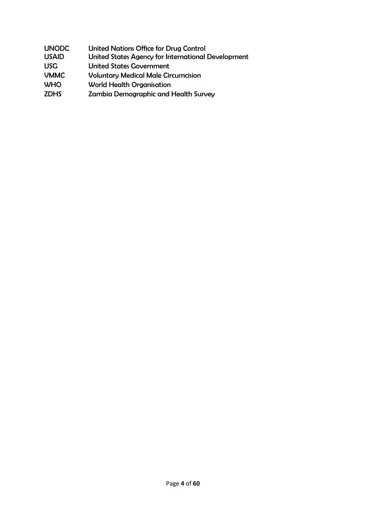| <b>UNODC</b><br><b>USAID</b> | <b>United Nations Office for Drug Control</b><br>United States Agency for International Development |
|------------------------------|-----------------------------------------------------------------------------------------------------|
| <b>USG</b>                   | <b>United States Government</b>                                                                     |
| <b>VMMC</b>                  | <b>Voluntary Medical Male Circumcision</b>                                                          |
| <b>WHO</b>                   | <b>World Health Organisation</b>                                                                    |
| <b>ZDHS</b>                  | <b>Zambia Demographic and Health Survey</b>                                                         |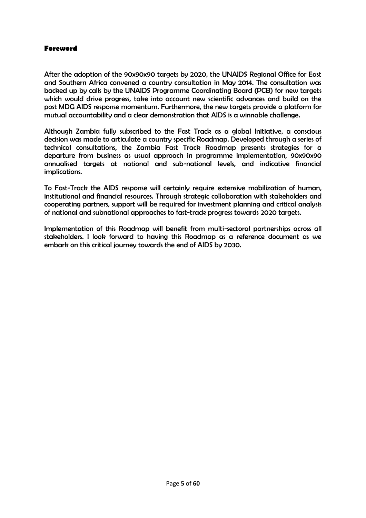#### <span id="page-5-0"></span>**Foreword**

After the adoption of the 90x90x90 targets by 2020, the UNAIDS Regional Office for East and Southern Africa convened a country consultation in May 2014. The consultation was backed up by calls by the UNAIDS Programme Coordinating Board (PCB) for new targets which would drive progress, take into account new scientific advances and build on the post MDG AIDS response momentum. Furthermore, the new targets provide a platform for mutual accountability and a clear demonstration that AIDS is a winnable challenge.

Although Zambia fully subscribed to the Fast Track as a global Initiative, a conscious decision was made to articulate a country specific Roadmap. Developed through a series of technical consultations, the Zambia Fast Track Roadmap presents strategies for a departure from business as usual approach in programme implementation, 90x90x90 annualised targets at national and sub-national levels, and indicative financial implications.

To Fast-Track the AIDS response will certainly require extensive mobilization of human, institutional and financial resources. Through strategic collaboration with stakeholders and cooperating partners, support will be required for investment planning and critical analysis of national and subnational approaches to fast-track progress towards 2020 targets.

Implementation of this Roadmap will benefit from multi-sectoral partnerships across all stakeholders. I look forward to having this Roadmap as a reference document as we embark on this critical journey towards the end of AIDS by 2030.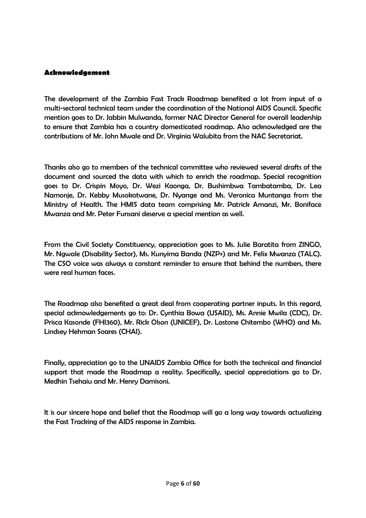#### <span id="page-6-0"></span>**Acknowledgement**

The development of the Zambia Fast Track Roadmap benefited a lot from input of a multi-sectoral technical team under the coordination of the National AIDS Council. Specific mention goes to Dr. Jabbin Mulwanda, former NAC Director General for overall leadership to ensure that Zambia has a country domesticated roadmap. Also acknowledged are the contributions of Mr. John Mwale and Dr. Virginia Walubita from the NAC Secretariat.

Thanks also go to members of the technical committee who reviewed several drafts of the document and sourced the data with which to enrich the roadmap. Special recognition goes to Dr. Crispin Moyo, Dr. Wezi Kaonga, Dr. Bushimbwa Tambatamba, Dr. Lea Namonje, Dr. Kebby Musokotwane, Dr. Nyange and Ms. Veronica Muntanga from the Ministry of Health. The HMIS data team comprising Mr. Patrick Amanzi, Mr. Boniface Mwanza and Mr. Peter Funsani deserve a special mention as well.

From the Civil Society Constituency, appreciation goes to Ms. Julie Baratita from ZINGO, Mr. Ngwale (Disability Sector), Ms. Kunyima Banda (NZP+) and Mr. Felix Mwanza (TALC). The CSO voice was always a constant reminder to ensure that behind the numbers, there were real human faces.

The Roadmap also benefited a great deal from cooperating partner inputs. In this regard, special acknowledgements go to: Dr. Cynthia Bowa (USAID), Ms. Annie Mwila (CDC), Dr. Prisca Kasonde (FHI360), Mr. Rick Olson (UNICEF), Dr. Lastone Chitembo (WHO) and Ms. Lindsey Hehman Soares (CHAI).

Finally, appreciation go to the UNAIDS Zambia Office for both the technical and financial support that made the Roadmap a reality. Specifically, special appreciations go to Dr. Medhin Tsehaiu and Mr. Henry Damisoni.

It is our sincere hope and belief that the Roadmap will go a long way towards actualizing the Fast Tracking of the AIDS response in Zambia.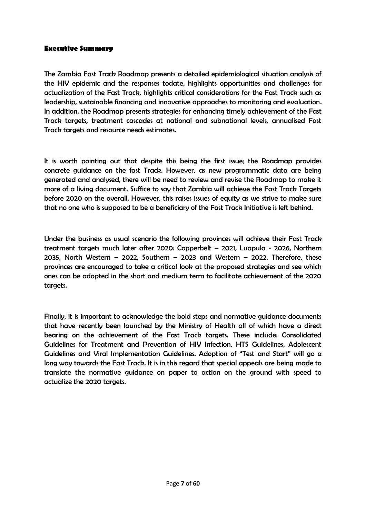#### <span id="page-7-0"></span>**Executive Summary**

The Zambia Fast Track Roadmap presents a detailed epidemiological situation analysis of the HIV epidemic and the responses todate, highlights opportunities and challenges for actualization of the Fast Track, highlights critical considerations for the Fast Track such as leadership, sustainable financing and innovative approaches to monitoring and evaluation. In addition, the Roadmap presents strategies for enhancing timely achievement of the Fast Track targets, treatment cascades at national and subnational levels, annualised Fast Track targets and resource needs estimates.

It is worth pointing out that despite this being the first issue; the Roadmap provides concrete guidance on the fast Track. However, as new programmatic data are being generated and analysed, there will be need to review and revise the Roadmap to make it more of a living document. Suffice to say that Zambia will achieve the Fast Track Targets before 2020 on the overall. However, this raises issues of equity as we strive to make sure that no one who is supposed to be a beneficiary of the Fast Track Initiative is left behind.

Under the business as usual scenario the following provinces will achieve their Fast Track treatment targets much later after 2020: Copperbelt – 2021, Luapula - 2026, Northern 2035, North Western – 2022, Southern – 2023 and Western – 2022. Therefore, these provinces are encouraged to take a critical look at the proposed strategies and see which ones can be adopted in the short and medium term to facilitate achievement of the 2020 targets.

Finally, it is important to acknowledge the bold steps and normative guidance documents that have recently been launched by the Ministry of Health all of which have a direct bearing on the achievement of the Fast Track targets. These include: Consolidated Guidelines for Treatment and Prevention of HIV Infection, HTS Guidelines, Adolescent Guidelines and Viral Implementation Guidelines. Adoption of "Test and Start" will go a long way towards the Fast Track. It is in this regard that special appeals are being made to translate the normative guidance on paper to action on the ground with speed to actualize the 2020 targets.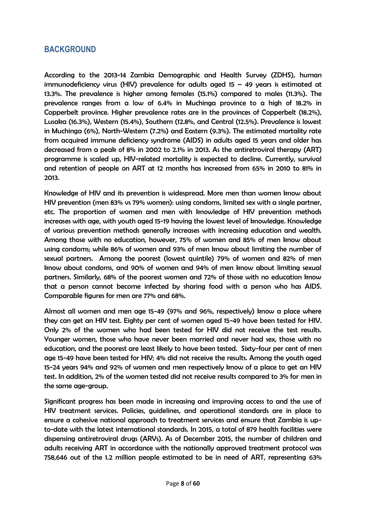## <span id="page-8-0"></span>**BACKGROUND**

According to the 2013-14 Zambia Demographic and Health Survey (ZDHS), human immunodeficiency virus (HIV) prevalence for adults aged 15 – 49 years is estimated at 13.3%. The prevalence is higher among females (15.1%) compared to males (11.3%). The prevalence ranges from a low of 6.4% in Muchinga province to a high of 18.2% in Copperbelt province. Higher prevalence rates are in the provinces of Copperbelt (18.2%), Lusaka (16.3%), Western (15.4%), Southern (12.8%, and Central (12.5%). Prevalence is lowest in Muchinga (6%), North-Western (7.2%) and Eastern (9.3%). The estimated mortality rate from acquired immune deficiency syndrome (AIDS) in adults aged 15 years and older has decreased from a peak of 8% in 2002 to 2.1% in 2013. As the antiretroviral therapy (ART) programme is scaled up, HIV-related mortality is expected to decline. Currently, survival and retention of people on ART at 12 months has increased from 65% in 2010 to 81% in 2013.

Knowledge of HIV and its prevention is widespread. More men than women know about HIV prevention (men 83% vs 79% women): using condoms, limited sex with a single partner, etc. The proportion of women and men with knowledge of HIV prevention methods increases with age, with youth aged 15-19 having the lowest level of knowledge. Knowledge of various prevention methods generally increases with increasing education and wealth. Among those with no education, however, 75% of women and 85% of men know about using condoms; while 86% of women and 93% of men know about limiting the number of sexual partners. Among the poorest (lowest quintile) 79% of women and 82% of men know about condoms, and 90% of women and 94% of men know about limiting sexual partners. Similarly, 68% of the poorest women and 72% of those with no education know that a person cannot become infected by sharing food with a person who has AIDS. Comparable figures for men are 77% and 68%.

Almost all women and men age 15-49 (97% and 96%, respectively) know a place where they can get an HIV test. Eighty per cent of women aged 15-49 have been tested for HIV. Only 2% of the women who had been tested for HIV did not receive the test results. Younger women, those who have never been married and never had sex, those with no education, and the poorest are least likely to have been tested. Sixty-four per cent of men age 15-49 have been tested for HIV; 4% did not receive the results. Among the youth aged 15-24 years 94% and 92% of women and men respectively know of a place to get an HIV test. In addition, 2% of the women tested did not receive results compared to 3% for men in the same age-group.

Significant progress has been made in increasing and improving access to and the use of HIV treatment services. Policies, guidelines, and operational standards are in place to ensure a cohesive national approach to treatment services and ensure that Zambia is upto-date with the latest international standards. In 2015, a total of 879 health facilities were dispensing antiretroviral drugs (ARVs). As of December 2015, the number of children and adults receiving ART in accordance with the nationally approved treatment protocol was 758,646 out of the 1.2 million people estimated to be in need of ART, representing 63%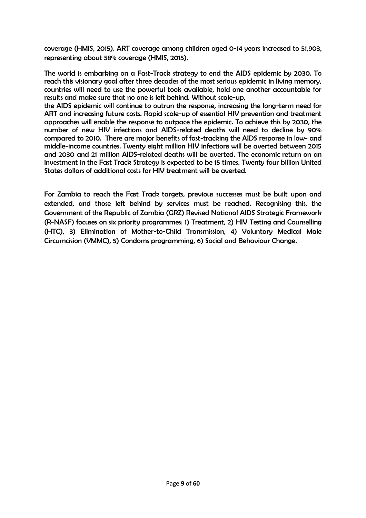coverage (HMIS, 2015). ART coverage among children aged 0-14 years increased to 51,903, representing about 58% coverage (HMIS, 2015).

The world is embarking on a Fast-Track strategy to end the AIDS epidemic by 2030. To reach this visionary goal after three decades of the most serious epidemic in living memory, countries will need to use the powerful tools available, hold one another accountable for results and make sure that no one is left behind. Without scale-up,

the AIDS epidemic will continue to outrun the response, increasing the long-term need for ART and increasing future costs. Rapid scale-up of essential HIV prevention and treatment approaches will enable the response to outpace the epidemic. To achieve this by 2030, the number of new HIV infections and AIDS-related deaths will need to decline by 90% compared to 2010. There are major benefits of fast-tracking the AIDS response in low- and middle-income countries. Twenty eight million HIV infections will be averted between 2015 and 2030 and 21 million AIDS-related deaths will be averted. The economic return on an investment in the Fast Track Strategy is expected to be 15 times. Twenty four billion United States dollars of additional costs for HIV treatment will be averted.

For Zambia to reach the Fast Track targets, previous successes must be built upon and extended, and those left behind by services must be reached. Recognising this, the Government of the Republic of Zambia (GRZ) Revised National AIDS Strategic Framework (R-NASF) focuses on six priority programmes: 1) Treatment, 2) HIV Testing and Counselling (HTC), 3) Elimination of Mother-to-Child Transmission, 4) Voluntary Medical Male Circumcision (VMMC), 5) Condoms programming, 6) Social and Behaviour Change.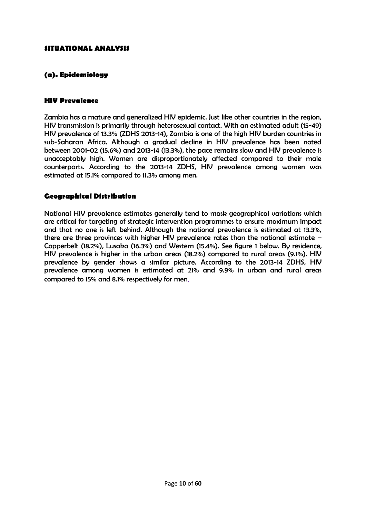#### <span id="page-10-0"></span>**SITUATIONAL ANALYSIS**

#### **(a). Epidemiology**

#### **HIV Prevalence**

Zambia has a mature and generalized HIV epidemic. Just like other countries in the region, HIV transmission is primarily through heterosexual contact. With an estimated adult (15-49) HIV prevalence of 13.3% (ZDHS 2013-14), Zambia is one of the high HIV burden countries in sub-Saharan Africa. Although a gradual decline in HIV prevalence has been noted between 2001-02 (15.6%) and 2013-14 (13.3%), the pace remains slow and HIV prevalence is unacceptably high. Women are disproportionately affected compared to their male counterparts. According to the 2013-14 ZDHS, HIV prevalence among women was estimated at 15.1% compared to 11.3% among men.

#### **Geographical Distribution**

National HIV prevalence estimates generally tend to mask geographical variations which are critical for targeting of strategic intervention programmes to ensure maximum impact and that no one is left behind. Although the national prevalence is estimated at 13.3%, there are three provinces with higher HIV prevalence rates than the national estimate – Copperbelt (18.2%), Lusaka (16.3%) and Western (15.4%). See figure 1 below. By residence, HIV prevalence is higher in the urban areas (18.2%) compared to rural areas (9.1%). HIV prevalence by gender shows a similar picture. According to the 2013-14 ZDHS, HIV prevalence among women is estimated at 21% and 9.9% in urban and rural areas compared to 15% and 8.1% respectively for men.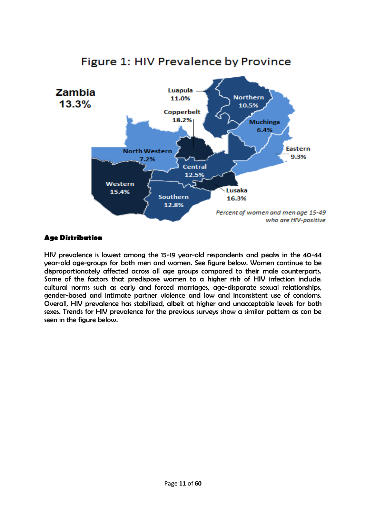

# Figure 1: HIV Prevalence by Province

#### **Age Distribution**

HIV prevalence is lowest among the 15-19 year-old respondents and peaks in the 40-44 year-old age-groups for both men and women. See figure below. Women continue to be disproportionately affected across all age groups compared to their male counterparts. Some of the factors that predispose women to a higher risk of HIV infection include: cultural norms such as early and forced marriages, age-disparate sexual relationships, gender-based and intimate partner violence and low and inconsistent use of condoms. Overall, HIV prevalence has stabilized, albeit at higher and unacceptable levels for both sexes. Trends for HIV prevalence for the previous surveys show a similar pattern as can be seen in the figure below.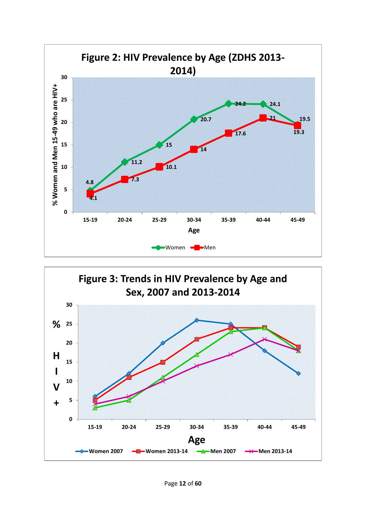

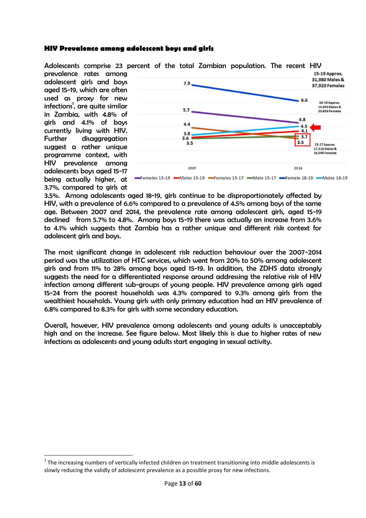#### **HIV Prevalence among adolescent boys and girls**

Adolescents comprise 23 percent of the total Zambian population. The recent HIV

prevalence rates among adolescent girls and boys aged 15-19, which are often used as proxy for new infections<sup>1</sup>, are quite similar in Zambia, with 4.8% of girls and 4.1% of boys currently living with HIV. Further disaggregation suggest a rather unique programme context, with HIV prevalence among adolescents boys aged 15-17 being actually higher, at 3.7%, compared to girls at

 $\overline{\phantom{a}}$ 



3.5%. Among adolescents aged 18-19, girls continue to be disproportionately affected by HIV, with a prevalence of 6.6% compared to a prevalence of 4.5% among boys of the same age. Between 2007 and 2014, the prevalence rate among adolescent girls, aged 15-19 declined from 5.7% to 4.8%. Among boys 15-19 there was actually an increase from 3.6% to 4.1% which suggests that Zambia has a rather unique and different risk context for adolescent girls and boys.

The most significant change in adolescent risk reduction behaviour over the 2007-2014 period was the utilization of HTC services, which went from 20% to 50% among adolescent girls and from 11% to 28% among boys aged 15-19. In addition, the ZDHS data strongly suggests the need for a differentiated response around addressing the relative risk of HIV infection among different sub-groups of young people. HIV prevalence among girls aged 15-24 from the poorest households was 4.3% compared to 9.3% among girls from the wealthiest households. Young girls with only primary education had an HIV prevalence of 6.8% compared to 8.3% for girls with some secondary education.

Overall, however, HIV prevalence among adolescents and young adults is unacceptably high and on the increase. See figure below. Most likely this is due to higher rates of new infections as adolescents and young adults start engaging in sexual activity.

 $1$  The increasing numbers of vertically infected children on treatment transitioning into middle adolescents is slowly reducing the validly of adolescent prevalence as a possible proxy for new infections.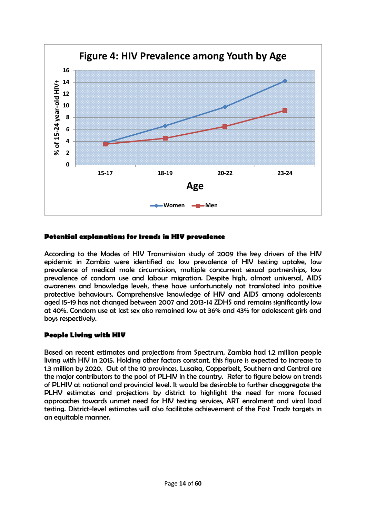

#### **Potential explanations for trends in HIV prevalence**

According to the Modes of HIV Transmission study of 2009 the key drivers of the HIV epidemic in Zambia were identified as: low prevalence of HIV testing uptake, low prevalence of medical male circumcision, multiple concurrent sexual partnerships, low prevalence of condom use and labour migration. Despite high, almost universal, AIDS awareness and knowledge levels, these have unfortunately not translated into positive protective behaviours. Comprehensive knowledge of HIV and AIDS among adolescents aged 15-19 has not changed between 2007 and 2013-14 ZDHS and remains significantly low at 40%. Condom use at last sex also remained low at 36% and 43% for adolescent girls and boys respectively.

#### **People Living with HIV**

Based on recent estimates and projections from Spectrum, Zambia had 1.2 million people living with HIV in 2015. Holding other factors constant, this figure is expected to increase to 1.3 million by 2020. Out of the 10 provinces, Lusaka, Copperbelt, Southern and Central are the major contributors to the pool of PLHIV in the country. Refer to figure below on trends of PLHIV at national and provincial level. It would be desirable to further disaggregate the PLHV estimates and projections by district to highlight the need for more focused approaches towards unmet need for HIV testing services, ART enrolment and viral load testing. District-level estimates will also facilitate achievement of the Fast Track targets in an equitable manner.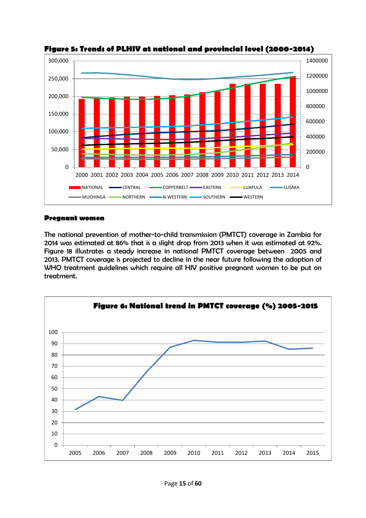

**Figure 5: Trends of PLHIV at national and provincial level (2000-2014)** 

#### **Pregnant women**

The national prevention of mother-to-child transmission (PMTCT) coverage in Zambia for 2014 was estimated at 86% that is a slight drop from 2013 when it was estimated at 92%. Figure 18 illustrates a steady increase in national PMTCT coverage between 2005 and 2013. PMTCT coverage is projected to decline in the near future following the adoption of WHO treatment guidelines which require all HIV positive pregnant women to be put on treatment.

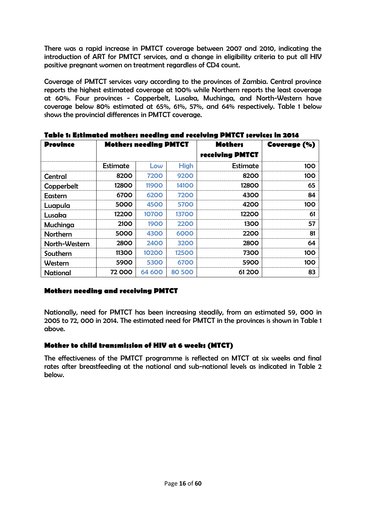There was a rapid increase in PMTCT coverage between 2007 and 2010, indicating the introduction of ART for PMTCT services, and a change in eligibility criteria to put all HIV positive pregnant women on treatment regardless of CD4 count.

Coverage of PMTCT services vary according to the provinces of Zambia. Central province reports the highest estimated coverage at 100% while Northern reports the least coverage at 60%. Four provinces - Copperbelt, Lusaka, Muchinga, and North-Western have coverage below 80% estimated at 65%, 61%, 57%, and 64% respectively. Table 1 below shows the provincial differences in PMTCT coverage.

| <b>Province</b> | <b>Mothers needing PMTCT</b> |              |              | <b>Mothers</b><br><b>receiving PMTCT</b> | <b>Coverage (%)</b> |
|-----------------|------------------------------|--------------|--------------|------------------------------------------|---------------------|
|                 | Estimate                     | Low          | <b>High</b>  | Estimate                                 | 100                 |
| Central         | 8200                         | 7200         | 9200         | 8200                                     | 100                 |
| Copperbelt      | 12800                        | <b>11900</b> | <b>14100</b> | 12800                                    | 65                  |
| Eastern         | 6700                         | 6200         | 7200         | 4300                                     | 84                  |
| Luapula         | 5000                         | 4500         | 5700         | 4200                                     | 100                 |
| Lusaka          | 12200                        | 10700        | 13700        | 12200                                    | 61                  |
| Muchinga        | 2100                         | 1900         | 2200         | 1300                                     | 57                  |
| Northern        | 5000                         | 4300         | 6000         | 2200                                     | 81                  |
| North-Western   | 2800                         | 2400         | 3200         | 2800                                     | 64                  |
| Southern        | 11300                        | 10200        | 12500        | 7300                                     | 100                 |
| Western         | 5900                         | 5300         | 6700         | 5900                                     | 100                 |
| National        | 72 000                       | 64 600       | 80 500       | 61 200                                   | 83                  |

**Table 1: Estimated mothers needing and receiving PMTCT services in 2014**

#### **Mothers needing and receiving PMTCT**

Nationally, need for PMTCT has been increasing steadily, from an estimated 59, 000 in 2005 to 72, 000 in 2014. The estimated need for PMTCT in the provinces is shown in Table 1 above.

#### **Mother to child transmission of HIV at 6 weeks (MTCT)**

The effectiveness of the PMTCT programme is reflected on MTCT at six weeks and final rates after breastfeeding at the national and sub-national levels as indicated in Table 2 below.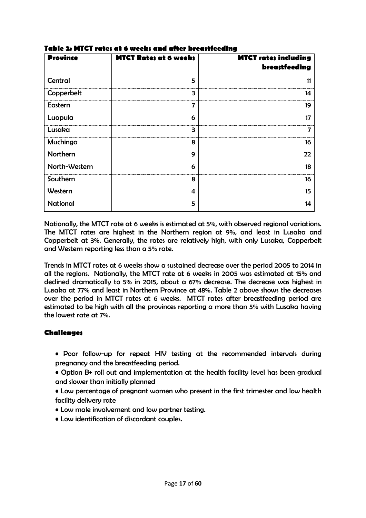| <b>Province</b> | <b>MTCT Rates at 6 weeks</b> | <b>MTCT rates including</b><br>breastfeeding |
|-----------------|------------------------------|----------------------------------------------|
| Central         | 5                            | 11                                           |
| Copperbelt      | 3                            | 14                                           |
| Eastern         | 7                            | 19                                           |
| Luapula         | 6                            | 17                                           |
| Lusaka          | 3                            | 7                                            |
| Muchinga        | 8                            | 16                                           |
| Northern        | 9                            | 22                                           |
| North-Western   | 6                            | 18                                           |
| Southern        | 8                            | 16                                           |
| Western         | 4                            | 15                                           |
| <b>National</b> | 5                            | 14                                           |

#### **Table 2: MTCT rates at 6 weeks and after breastfeeding**

Nationally, the MTCT rate at 6 weeks is estimated at 5%, with observed regional variations. The MTCT rates are highest in the Northern region at 9%, and least in Lusaka and Copperbelt at 3%. Generally, the rates are relatively high, with only Lusaka, Copperbelt and Western reporting less than a 5% rate.

Trends in MTCT rates at 6 weeks show a sustained decrease over the period 2005 to 2014 in all the regions. Nationally, the MTCT rate at 6 weeks in 2005 was estimated at 15% and declined dramatically to 5% in 2015, about a 67% decrease. The decrease was highest in Lusaka at 77% and least in Northern Province at 48%. Table 2 above shows the decreases over the period in MTCT rates at 6 weeks. MTCT rates after breastfeeding period are estimated to be high with all the provinces reporting a more than 5% with Lusaka having the lowest rate at 7%.

#### **Challenges**

- Poor follow-up for repeat HIV testing at the recommended intervals during pregnancy and the breastfeeding period.
- Option B+ roll out and implementation at the health facility level has been gradual and slower than initially planned
- Low percentage of pregnant women who present in the first trimester and low health facility delivery rate
- Low male involvement and low partner testing.
- Low identification of discordant couples.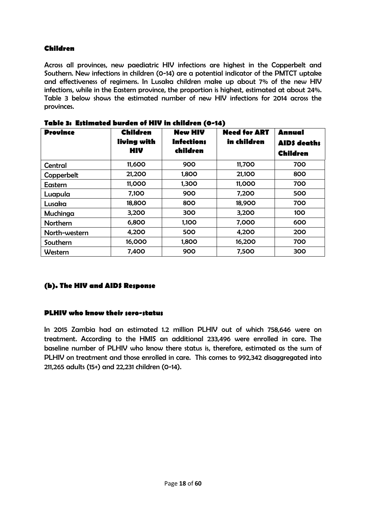#### **Children**

Across all provinces, new paediatric HIV infections are highest in the Copperbelt and Southern. New infections in children (0-14) are a potential indicator of the PMTCT uptake and effectiveness of regimens. In Lusaka children make up about 7% of the new HIV infections, while in the Eastern province, the proportion is highest, estimated at about 24%. Table 3 below shows the estimated number of new HIV infections for 2014 across the provinces.

| <b>Province</b> | <b>Children</b><br>living with<br><b>HIV</b> | <b>New HIV</b><br><b>Infections</b><br>children | <b>Need for ART</b><br>in children | <b>Annual</b><br><b>AID\$</b> death;<br><b>Children</b> |
|-----------------|----------------------------------------------|-------------------------------------------------|------------------------------------|---------------------------------------------------------|
| Central         | 11,600                                       | 900                                             | 11,700                             | 700                                                     |
| Copperbelt      | 21,200                                       | 1,800                                           | 21,100                             | 800                                                     |
| Eastern         | 11,000                                       | 1,300                                           | 11,000                             | 700                                                     |
| Luapula         | 7,100                                        | 900                                             | 7,200                              | 500                                                     |
| Lusaka          | 18,800                                       | 800                                             | 18,900                             | 700                                                     |
| Muchinga        | 3,200                                        | 300                                             | 3,200                              | 100                                                     |
| <b>Northern</b> | 6,800                                        | 1,100                                           | 7,000                              | 600                                                     |
| North-western   | 4,200                                        | 500                                             | 4,200                              | 200                                                     |
| Southern        | 16,000                                       | 1,800                                           | 16,200                             | 700                                                     |
| Western         | 7,400                                        | 900                                             | 7,500                              | 300                                                     |

**Table 3: Estimated burden of HIV in children (0-14)**

#### <span id="page-18-0"></span>**(b). The HIV and AIDS Response**

#### **PLHIV who know their sero-status**

In 2015 Zambia had an estimated 1.2 million PLHIV out of which 758,646 were on treatment. According to the HMIS an additional 233,496 were enrolled in care. The baseline number of PLHIV who know there status is, therefore, estimated as the sum of PLHIV on treatment and those enrolled in care. This comes to 992,342 disaggregated into 211,265 adults (15+) and 22,231 children (0-14).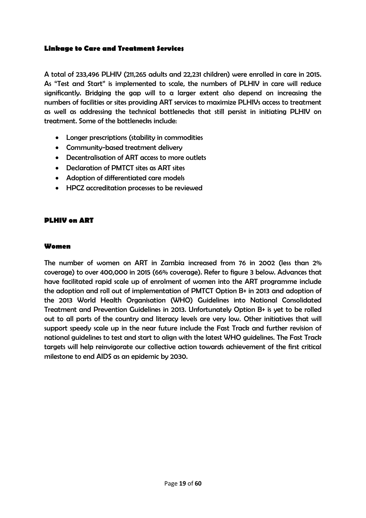#### <span id="page-19-0"></span>**Linkage to Care and Treatment Services**

A total of 233,496 PLHIV (211,265 adults and 22,231 children) were enrolled in care in 2015. As "Test and Start" is implemented to scale, the numbers of PLHIV in care will reduce significantly. Bridging the gap will to a larger extent also depend on increasing the numbers of facilities or sites providing ART services to maximize PLHIVs access to treatment as well as addressing the technical bottlenecks that still persist in initiating PLHIV on treatment. Some of the bottlenecks include:

- Longer prescriptions (stability in commodities
- Community-based treatment delivery
- Decentralisation of ART access to more outlets
- Declaration of PMTCT sites as ART sites
- Adoption of differentiated care models
- HPCZ accreditation processes to be reviewed

#### <span id="page-19-1"></span>**PLHIV on ART**

#### **Women**

The number of women on ART in Zambia increased from 76 in 2002 (less than 2% coverage) to over 400,000 in 2015 (66% coverage). Refer to figure 3 below. Advances that have facilitated rapid scale up of enrolment of women into the ART programme include the adoption and roll out of implementation of PMTCT Option B+ in 2013 and adoption of the 2013 World Health Organisation (WHO) Guidelines into National Consolidated Treatment and Prevention Guidelines in 2013. Unfortunately Option B+ is yet to be rolled out to all parts of the country and literacy levels are very low. Other initiatives that will support speedy scale up in the near future include the Fast Track and further revision of national guidelines to test and start to align with the latest WHO guidelines. The Fast Track targets will help reinvigorate our collective action towards achievement of the first critical milestone to end AIDS as an epidemic by 2030.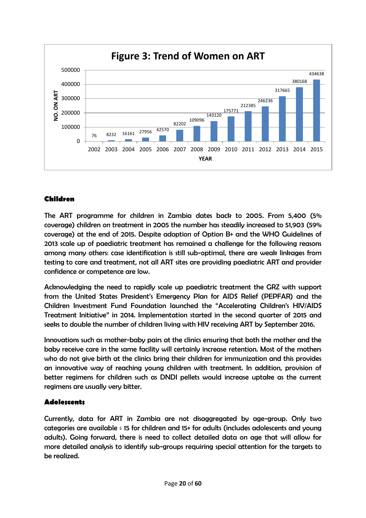

### **Children**

The ART programme for children in Zambia dates back to 2005. From 5,400 (5% coverage) children on treatment in 2005 the number has steadily increased to 51,903 (59% coverage) at the end of 2015. Despite adoption of Option B+ and the WHO Guidelines of 2013 scale up of paediatric treatment has remained a challenge for the following reasons among many others: case identification is still sub-optimal, there are weak linkages from testing to care and treatment, not all ART sites are providing paediatric ART and provider confidence or competence are low.

Acknowledging the need to rapidly scale up paediatric treatment the GRZ with support from the United States President's Emergency Plan for AIDS Relief (PEPFAR) and the Children Investment Fund Foundation launched the "Accelerating Children's HIV/AIDS Treatment Initiative" in 2014. Implementation started in the second quarter of 2015 and seeks to double the number of children living with HIV receiving ART by September 2016.

Innovations such as mother-baby pairs at the clinics ensuring that both the mother and the baby receive care in the same facility will certainly increase retention. Most of the mothers who do not give birth at the clinics bring their children for immunization and this provides an innovative way of reaching young children with treatment. In addition, provision of better regimens for children such as DNDI pellets would increase uptake as the current regimens are usually very bitter.

#### **Adolescents**

Currently, data for ART in Zambia are not disaggregated by age-group. Only two categories are available ≤ 15 for children and 15+ for adults (includes adolescents and young adults). Going forward, there is need to collect detailed data on age that will allow for more detailed analysis to identify sub-groups requiring special attention for the targets to be realized.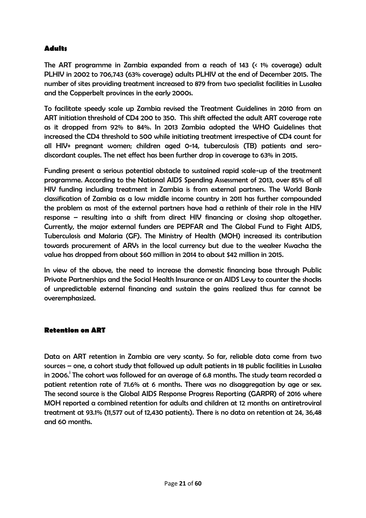#### **Adults**

The ART programme in Zambia expanded from a reach of 143 (< 1% coverage) adult PLHIV in 2002 to 706,743 (63% coverage) adults PLHIV at the end of December 2015. The number of sites providing treatment increased to 879 from two specialist facilities in Lusaka and the Copperbelt provinces in the early 2000s.

To facilitate speedy scale up Zambia revised the Treatment Guidelines in 2010 from an ART initiation threshold of CD4 200 to 350. This shift affected the adult ART coverage rate as it dropped from 92% to 84%. In 2013 Zambia adopted the WHO Guidelines that increased the CD4 threshold to 500 while initiating treatment irrespective of CD4 count for all HIV+ pregnant women; children aged 0-14, tuberculosis (TB) patients and serodiscordant couples. The net effect has been further drop in coverage to 63% in 2015.

Funding present a serious potential obstacle to sustained rapid scale-up of the treatment programme. According to the National AIDS Spending Assessment of 2013, over 85% of all HIV funding including treatment in Zambia is from external partners. The World Bank classification of Zambia as a low middle income country in 2011 has further compounded the problem as most of the external partners have had a rethink of their role in the HIV response – resulting into a shift from direct HIV financing or closing shop altogether. Currently, the major external funders are PEPFAR and The Global Fund to Fight AIDS, Tuberculosis and Malaria (GF). The Ministry of Health (MOH) increased its contribution towards procurement of ARVs in the local currency but due to the weaker Kwacha the value has dropped from about \$60 million in 2014 to about \$42 million in 2015.

In view of the above, the need to increase the domestic financing base through Public Private Partnerships and the Social Health Insurance or an AIDS Levy to counter the shocks of unpredictable external financing and sustain the gains realized thus far cannot be overemphasized.

#### <span id="page-21-0"></span>**Retention on ART**

Data on ART retention in Zambia are very scanty. So far, reliable data come from two sources – one, a cohort study that followed up adult patients in 18 public facilities in Lusaka in 2006. $^{\mathrm{i}}$  The cohort was followed for an average of 6.8 months. The study team recorded a patient retention rate of 71.6% at 6 months. There was no disaggregation by age or sex. The second source is the Global AIDS Response Progress Reporting (GARPR) of 2016 where MOH reported a combined retention for adults and children at 12 months on antiretroviral treatment at 93.1% (11,577 out of 12,430 patients). There is no data on retention at 24, 36,48 and 60 months.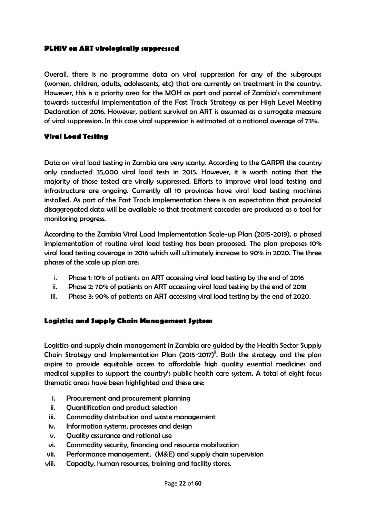#### <span id="page-22-0"></span>**PLHIV on ART virologically suppressed**

Overall, there is no programme data on viral suppression for any of the subgroups (women, children, adults, adolescents, etc) that are currently on treatment in the country. However, this is a priority area for the MOH as part and parcel of Zambia's commitment towards successful implementation of the Fast Track Strategy as per High Level Meeting Declaration of 2016. However, patient survival on ART is assumed as a surrogate measure of viral suppression. In this case viral suppression is estimated at a national average of 73%.

#### <span id="page-22-1"></span>**Viral Load Testing**

Data on viral load testing in Zambia are very scanty. According to the GARPR the country only conducted 35,000 viral load tests in 2015. However, it is worth noting that the majority of those tested are virally suppressed. Efforts to improve viral load testing and infrastructure are ongoing. Currently all 10 provinces have viral load testing machines installed. As part of the Fast Track implementation there is an expectation that provincial disaggregated data will be available so that treatment cascades are produced as a tool for monitoring progress.

According to the Zambia Viral Load Implementation Scale-up Plan (2015-2019), a phased implementation of routine viral load testing has been proposed. The plan proposes 10% viral load testing coverage in 2016 which will ultimately increase to 90% in 2020. The three phases of the scale up plan are:

- i. Phase 1: 10% of patients on ART accessing viral load testing by the end of 2016
- ii. Phase 2: 70% of patients on ART accessing viral load testing by the end of 2018
- iii. Phase 3: 90% of patients on ART accessing viral load testing by the end of 2020.

#### <span id="page-22-2"></span>**Logistics and Supply Chain Management System**

Logistics and supply chain management in Zambia are guided by the Health Sector Supply Chain Strategy and Implementation Plan (2015-2017)<sup>it</sup>. Both the strategy and the plan aspire to provide equitable access to affordable high quality essential medicines and medical supplies to support the country's public health care system. A total of eight focus thematic areas have been highlighted and these are:

- i. Procurement and procurement planning
- ii. Quantification and product selection
- iii. Commodity distribution and waste management
- iv. Information systems, processes and design
- v. Quality assurance and rational use
- vi. Commodity security, financing and resource mobilization
- vii. Performance management, (M&E) and supply chain supervision
- viii. Capacity, human resources, training and facility stores.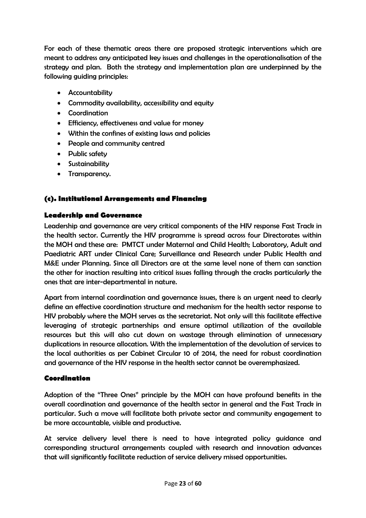For each of these thematic areas there are proposed strategic interventions which are meant to address any anticipated key issues and challenges in the operationalisation of the strategy and plan. Both the strategy and implementation plan are underpinned by the following guiding principles:

- Accountability
- Commodity availability, accessibility and equity
- Coordination
- Efficiency, effectiveness and value for money
- Within the confines of existing laws and policies
- People and community centred
- Public safety
- **•** Sustainability
- Transparency.

#### <span id="page-23-0"></span>**(c). Institutional Arrangements and Financing**

#### **Leadership and Governance**

Leadership and governance are very critical components of the HIV response Fast Track in the health sector. Currently the HIV programme is spread across four Directorates within the MOH and these are: PMTCT under Maternal and Child Health; Laboratory, Adult and Paediatric ART under Clinical Care; Surveillance and Research under Public Health and M&E under Planning. Since all Directors are at the same level none of them can sanction the other for inaction resulting into critical issues falling through the cracks particularly the ones that are inter-departmental in nature.

Apart from internal coordination and governance issues, there is an urgent need to clearly define an effective coordination structure and mechanism for the health sector response to HIV probably where the MOH serves as the secretariat. Not only will this facilitate effective leveraging of strategic partnerships and ensure optimal utilization of the available resources but this will also cut down on wastage through elimination of unnecessary duplications in resource allocation. With the implementation of the devolution of services to the local authorities as per Cabinet Circular 10 of 2014, the need for robust coordination and governance of the HIV response in the health sector cannot be overemphasized.

#### **Coordination**

Adoption of the "Three Ones" principle by the MOH can have profound benefits in the overall coordination and governance of the health sector in general and the Fast Track in particular. Such a move will facilitate both private sector and community engagement to be more accountable, visible and productive.

At service delivery level there is need to have integrated policy guidance and corresponding structural arrangements coupled with research and innovation advances that will significantly facilitate reduction of service delivery missed opportunities.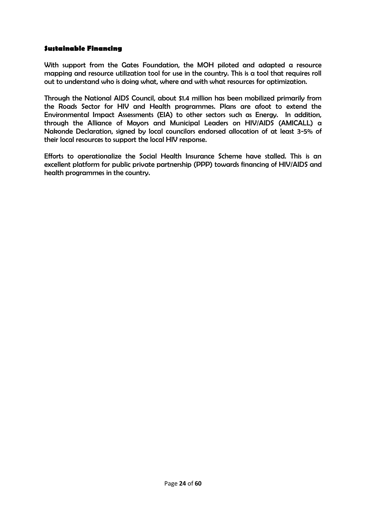#### **Sustainable Financing**

With support from the Gates Foundation, the MOH piloted and adapted a resource mapping and resource utilization tool for use in the country. This is a tool that requires roll out to understand who is doing what, where and with what resources for optimization.

Through the National AIDS Council, about \$1.4 million has been mobilized primarily from the Roads Sector for HIV and Health programmes. Plans are afoot to extend the Environmental Impact Assessments (EIA) to other sectors such as Energy. In addition, through the Alliance of Mayors and Municipal Leaders on HIV/AIDS (AMICALL) a Nakonde Declaration, signed by local councilors endorsed allocation of at least 3-5% of their local resources to support the local HIV response.

<span id="page-24-0"></span>Efforts to operationalize the Social Health Insurance Scheme have stalled. This is an excellent platform for public private partnership (PPP) towards financing of HIV/AIDS and health programmes in the country.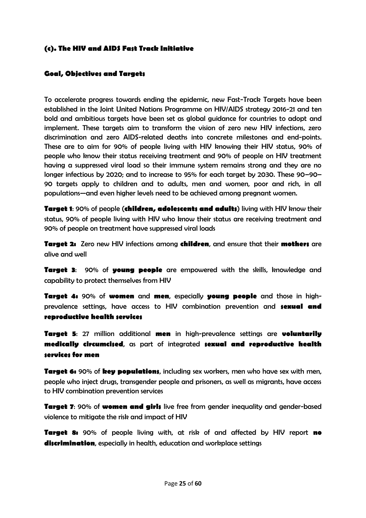#### **(c). The HIV and AIDS Fast Track Initiative**

#### **Goal, Objectives and Targets**

To accelerate progress towards ending the epidemic, new Fast-Track Targets have been established in the Joint United Nations Programme on HIV/AIDS strategy 2016-21 and ten bold and ambitious targets have been set as global guidance for countries to adopt and implement. These targets aim to transform the vision of zero new HIV infections, zero discrimination and zero AIDS-related deaths into concrete milestones and end-points. These are to aim for 90% of people living with HIV knowing their HIV status, 90% of people who know their status receiving treatment and 90% of people on HIV treatment having a suppressed viral load so their immune system remains strong and they are no longer infectious by 2020; and to increase to 95% for each target by 2030. These 90–90– 90 targets apply to children and to adults, men and women, poor and rich, in all populations—and even higher levels need to be achieved among pregnant women.

**Target 1**: 90% of people (**children, adolescents and adults**) living with HIV know their status, 90% of people living with HIV who know their status are receiving treatment and 90% of people on treatment have suppressed viral loads

**Target 2:** Zero new HIV infections among **children**, and ensure that their **mothers** are alive and well

**Target 3**: 90% of **young people** are empowered with the skills, knowledge and capability to protect themselves from HIV

**Target 4:** 90% of **women** and **men**, especially **young people** and those in highprevalence settings, have access to HIV combination prevention and **sexual and reproductive health services** 

**Target 5**: 27 million additional **men** in high-prevalence settings are **voluntarily medically circumcised**, as part of integrated **sexual and reproductive health services for men**

**Target 6:** 90% of **key populations**, including sex workers, men who have sex with men, people who inject drugs, transgender people and prisoners, as well as migrants, have access to HIV combination prevention services

**Target 7**: 90% of **women and girls** live free from gender inequality and gender-based violence to mitigate the risk and impact of HIV

**Target 8:** 90% of people living with, at risk of and affected by HIV report **no discrimination**, especially in health, education and workplace settings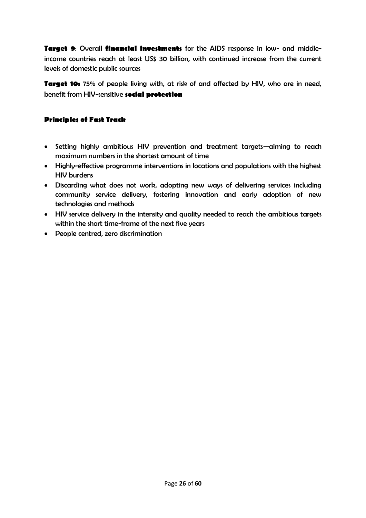**Target 9**: Overall **financial investments** for the AIDS response in low- and middleincome countries reach at least US\$ 30 billion, with continued increase from the current levels of domestic public sources

**Target 10:** 75% of people living with, at risk of and affected by HIV, who are in need, benefit from HIV-sensitive **social protection**

#### <span id="page-26-0"></span>**Principles of Fast Track**

- Setting highly ambitious HIV prevention and treatment targets—aiming to reach maximum numbers in the shortest amount of time
- Highly-effective programme interventions in locations and populations with the highest HIV burdens
- Discarding what does not work, adopting new ways of delivering services including community service delivery, fostering innovation and early adoption of new technologies and methods
- HIV service delivery in the intensity and quality needed to reach the ambitious targets within the short time-frame of the next five years
- People centred, zero discrimination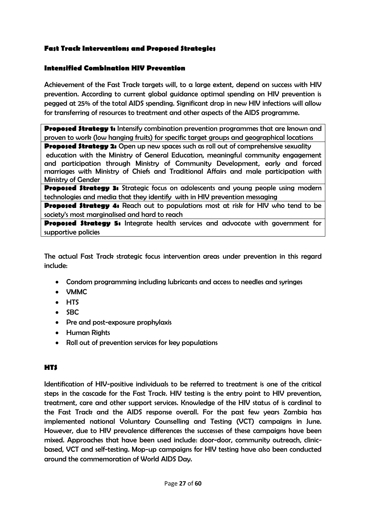#### <span id="page-27-0"></span>**Fast Track Interventions and Proposed Strategies**

#### **Intensified Combination HIV Prevention**

Achievement of the Fast Track targets will, to a large extent, depend on success with HIV prevention. According to current global guidance optimal spending on HIV prevention is pegged at 25% of the total AIDS spending. Significant drop in new HIV infections will allow for transferring of resources to treatment and other aspects of the AIDS programme.

**Proposed Strategy 1:** Intensify combination prevention programmes that are known and proven to work (low hanging fruits) for specific target groups and geographical locations

**Proposed Strategy 2:** Open up new spaces such as roll out of comprehensive sexuality education with the Ministry of General Education, meaningful community engagement and participation through Ministry of Community Development, early and forced marriages with Ministry of Chiefs and Traditional Affairs and male participation with Ministry of Gender

**Proposed Strategy 3:** Strategic focus on adolescents and young people using modern technologies and media that they identify with in HIV prevention messaging

**Proposed Strategy 4:** Reach out to populations most at risk for HIV who tend to be society's most marginalised and hard to reach

**Proposed Strategy 5:** Integrate health services and advocate with government for supportive policies

The actual Fast Track strategic focus intervention areas under prevention in this regard include:

- Condom programming including lubricants and access to needles and syringes
- VMMC
- HTS
- $\bullet$  SBC
- Pre and post-exposure prophylaxis
- Human Rights
- Roll out of prevention services for key populations

#### **HTS**

Identification of HIV-positive individuals to be referred to treatment is one of the critical steps in the cascade for the Fast Track. HIV testing is the entry point to HIV prevention, treatment, care and other support services. Knowledge of the HIV status of is cardinal to the Fast Track and the AIDS response overall. For the past few years Zambia has implemented national Voluntary Counselling and Testing (VCT) campaigns in June. However, due to HIV prevalence differences the successes of these campaigns have been mixed. Approaches that have been used include: door-door, community outreach, clinicbased, VCT and self-testing. Mop-up campaigns for HIV testing have also been conducted around the commemoration of World AIDS Day.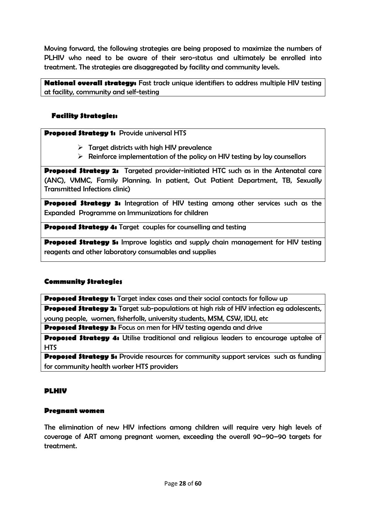Moving forward, the following strategies are being proposed to maximize the numbers of PLHIV who need to be aware of their sero-status and ultimately be enrolled into treatment. The strategies are disaggregated by facility and community levels.

**National overall strategy:** Fast track unique identifiers to address multiple HIV testing at facility, community and self-testing

#### **Facility Strategies:**

**Proposed Strategy 1:** Provide universal HTS

- $\triangleright$  Target districts with high HIV prevalence
- $\triangleright$  Reinforce implementation of the policy on HIV testing by lay counsellors

**Proposed Strategy 2:** Targeted provider-initiated HTC such as in the Antenatal care (ANC), VMMC, Family Planning. In patient, Out Patient Department, TB, Sexually Transmitted Infections clinic)

**Proposed Strategy 3:** Integration of HIV testing among other services such as the Expanded Programme on Immunizations for children

**Proposed Strategy 4:** Target couples for counselling and testing

**Proposed Strategy 5:** Improve logistics and supply chain management for HIV testing reagents and other laboratory consumables and supplies

#### **Community Strategies**

**Proposed Strategy 1:** Target index cases and their social contacts for follow up **Proposed Strategy 2:** Target sub-populations at high risk of HIV infection eg adolescents,

young people, women, fisherfolk, university students, MSM, CSW, IDU, etc **Proposed Strategy 3:** Focus on men for HIV testing agenda and drive

**Proposed Strategy 4:** Utilise traditional and religious leaders to encourage uptake of

HTS

**Proposed Strategy 5:** Provide resources for community support services such as funding for community health worker HTS providers

#### <span id="page-28-0"></span>**PLHIV**

#### **Pregnant women**

The elimination of new HIV infections among children will require very high levels of coverage of ART among pregnant women, exceeding the overall 90–90–90 targets for treatment.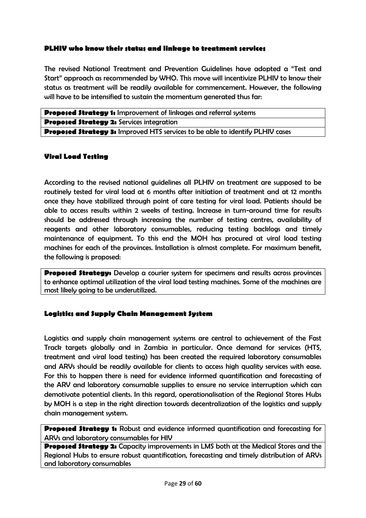#### <span id="page-29-0"></span>**PLHIV who know their status and linkage to treatment services**

The revised National Treatment and Prevention Guidelines have adopted a "Test and Start" approach as recommended by WHO. This move will incentivize PLHIV to know their status as treatment will be readily available for commencement. However, the following will have to be intensified to sustain the momentum generated thus far:

| <b>Proposed Strategy 1:</b> Improvement of linkages and referral systems             |  |
|--------------------------------------------------------------------------------------|--|
| <b>Proposed Strategy 2:</b> Services integration                                     |  |
| <b>Proposed Strategy 3:</b> Improved HTS services to be able to identify PLHIV cases |  |

#### <span id="page-29-1"></span>**Viral Load Testing**

According to the revised national guidelines all PLHIV on treatment are supposed to be routinely tested for viral load at 6 months after initiation of treatment and at 12 months once they have stabilized through point of care testing for viral load. Patients should be able to access results within 2 weeks of testing. Increase in turn-around time for results should be addressed through increasing the number of testing centres, availability of reagents and other laboratory consumables, reducing testing backlogs and timely maintenance of equipment. To this end the MOH has procured at viral load testing machines for each of the provinces. Installation is almost complete. For maximum benefit, the following is proposed:

**Proposed Strategy:** Develop a courier system for specimens and results across provinces to enhance optimal utilization of the viral load testing machines. Some of the machines are most likely going to be underutilized.

#### <span id="page-29-2"></span>**Logistics and Supply Chain Management System**

Logistics and supply chain management systems are central to achievement of the Fast Track targets globally and in Zambia in particular. Once demand for services (HTS, treatment and viral load testing) has been created the required laboratory consumables and ARVs should be readily available for clients to access high quality services with ease. For this to happen there is need for evidence informed quantification and forecasting of the ARV and laboratory consumable supplies to ensure no service interruption which can demotivate potential clients. In this regard, operationalisation of the Regional Stores Hubs by MOH is a step in the right direction towards decentralization of the logistics and supply chain management system.

**Proposed Strategy 1:** Robust and evidence informed quantification and forecasting for ARVs and laboratory consumables for HIV

**Proposed Strategy 2:** Capacity improvements in LMS both at the Medical Stores and the Regional Hubs to ensure robust quantification, forecasting and timely distribution of ARVs and laboratory consumables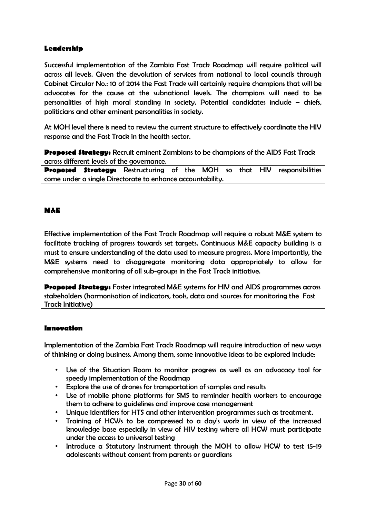#### **Leadership**

Successful implementation of the Zambia Fast Track Roadmap will require political will across all levels. Given the devolution of services from national to local councils through Cabinet Circular No.: 10 of 2014 the Fast Track will certainly require champions that will be advocates for the cause at the subnational levels. The champions will need to be personalities of high moral standing in society. Potential candidates include – chiefs, politicians and other eminent personalities in society.

At MOH level there is need to review the current structure to effectively coordinate the HIV response and the Fast Track in the health sector.

**Proposed Strategy:** Recruit eminent Zambians to be champions of the AIDS Fast Track across different levels of the governance.

**Proposed Strategy:** Restructuring of the MOH so that HIV responsibilities come under a single Directorate to enhance accountability.

#### <span id="page-30-0"></span>**M&E**

Effective implementation of the Fast Track Roadmap will require a robust M&E system to facilitate tracking of progress towards set targets. Continuous M&E capacity building is a must to ensure understanding of the data used to measure progress. More importantly, the M&E systems need to disaggregate monitoring data appropriately to allow for comprehensive monitoring of all sub-groups in the Fast Track initiative.

**Proposed Strategy:** Foster integrated M&E systems for HIV and AIDS programmes across stakeholders (harmonisation of indicators, tools, data and sources for monitoring the Fast Track Initiative)

#### **Innovation**

Implementation of the Zambia Fast Track Roadmap will require introduction of new ways of thinking or doing business. Among them, some innovative ideas to be explored include:

- Use of the Situation Room to monitor progress as well as an advocacy tool for speedy implementation of the Roadmap
- Explore the use of drones for transportation of samples and results
- Use of mobile phone platforms for SMS to reminder health workers to encourage them to adhere to guidelines and improve case management
- Unique identifiers for HTS and other intervention programmes such as treatment.
- Training of HCWs to be compressed to a day's work in view of the increased knowledge base especially in view of HIV testing where all HCW must participate under the access to universal testing
- Introduce a Statutory Instrument through the MOH to allow HCW to test 15-19 adolescents without consent from parents or guardians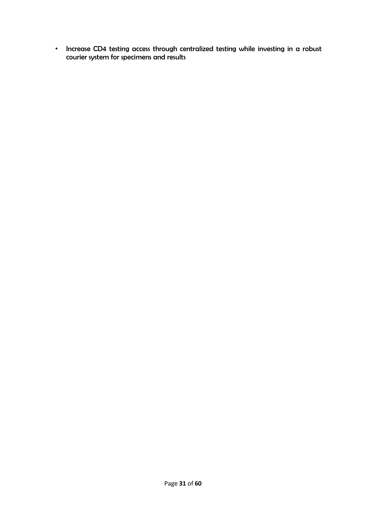• Increase CD4 testing access through centralized testing while investing in a robust courier system for specimens and results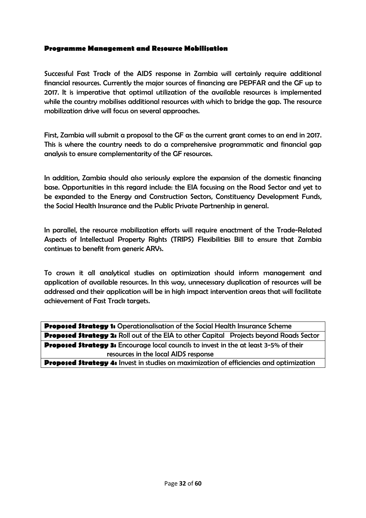#### <span id="page-32-0"></span>**Programme Management and Resource Mobilisation**

Successful Fast Track of the AIDS response in Zambia will certainly require additional financial resources. Currently the major sources of financing are PEPFAR and the GF up to 2017. It is imperative that optimal utilization of the available resources is implemented while the country mobilises additional resources with which to bridge the gap. The resource mobilization drive will focus on several approaches.

First, Zambia will submit a proposal to the GF as the current grant comes to an end in 2017. This is where the country needs to do a comprehensive programmatic and financial gap analysis to ensure complementarity of the GF resources.

In addition, Zambia should also seriously explore the expansion of the domestic financing base. Opportunities in this regard include: the EIA focusing on the Road Sector and yet to be expanded to the Energy and Construction Sectors, Constituency Development Funds, the Social Health Insurance and the Public Private Partnership in general.

In parallel, the resource mobilization efforts will require enactment of the Trade-Related Aspects of Intellectual Property Rights (TRIPS) Flexibilities Bill to ensure that Zambia continues to benefit from generic ARVs.

To crown it all analytical studies on optimization should inform management and application of available resources. In this way, unnecessary duplication of resources will be addressed and their application will be in high impact intervention areas that will facilitate achievement of Fast Track targets.

**Proposed Strategy 1:** Operationalisation of the Social Health Insurance Scheme **Proposed Strategy 2:** Roll out of the EIA to other Capital Projects beyond Roads Sector **Proposed Strategy 3:** Encourage local councils to invest in the at least 3-5% of their resources in the local AIDS response

**Proposed Strategy 4:** Invest in studies on maximization of efficiencies and optimization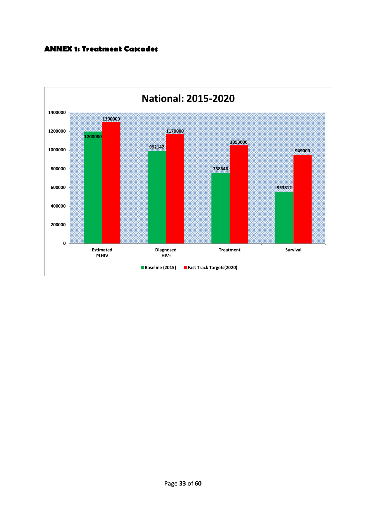#### <span id="page-33-0"></span>**ANNEX 1: Treatment Cascades**

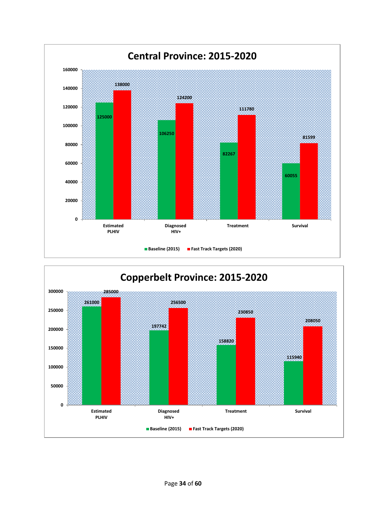

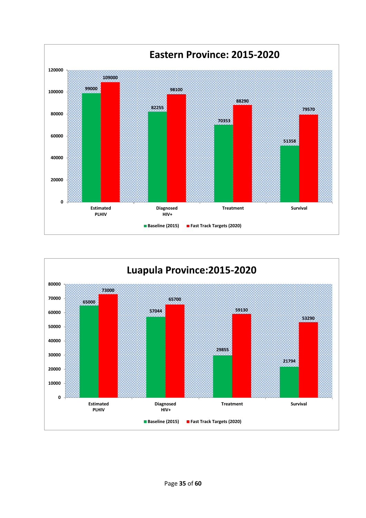

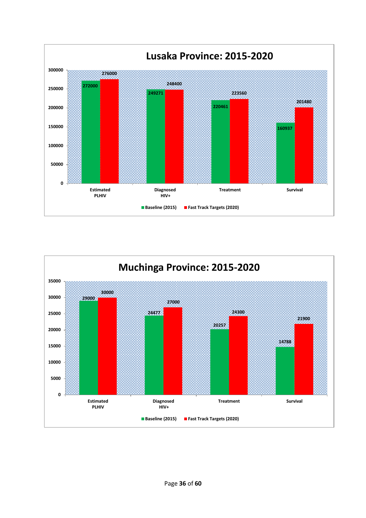

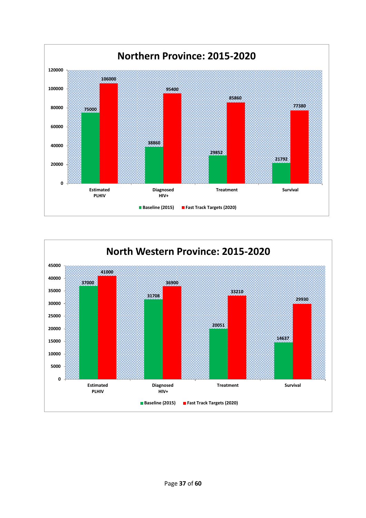

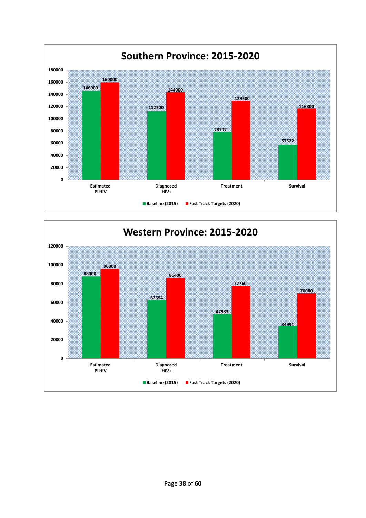

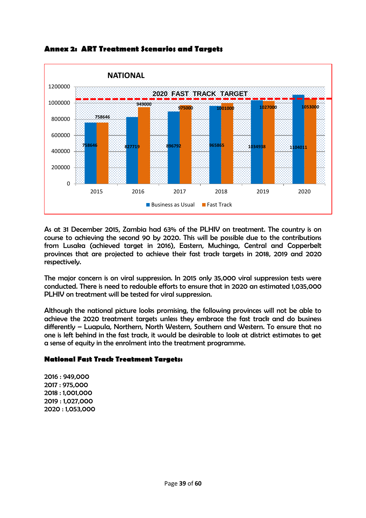

**Annex 2: ART Treatment Scenarios and Targets**

As at 31 December 2015, Zambia had 63% of the PLHIV on treatment. The country is on course to achieving the second 90 by 2020. This will be possible due to the contributions from Lusaka (achieved target in 2016), Eastern, Muchinga, Central and Copperbelt provinces that are projected to achieve their fast track targets in 2018, 2019 and 2020 respectively.

The major concern is on viral suppression. In 2015 only 35,000 viral suppression tests were conducted. There is need to redouble efforts to ensure that in 2020 an estimated 1,035,000 PLHIV on treatment will be tested for viral suppression.

Although the national picture looks promising, the following provinces will not be able to achieve the 2020 treatment targets unless they embrace the fast track and do business differently – Luapula, Northern, North Western, Southern and Western. To ensure that no one is left behind in the fast track, it would be desirable to look at district estimates to get a sense of equity in the enrolment into the treatment programme.

#### **National Fast Track Treatment Targets:**

2016 : 949,000 2017 : 975,000 2018 : 1,001,000 2019 : 1,027,000 2020 : 1,053,000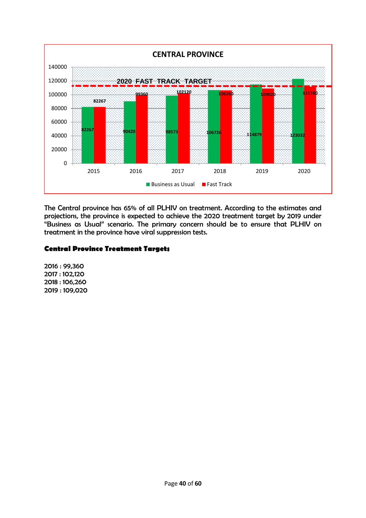

The Central province has 65% of all PLHIV on treatment. According to the estimates and projections, the province is expected to achieve the 2020 treatment target by 2019 under "Business as Usual" scenario. The primary concern should be to ensure that PLHIV on treatment in the province have viral suppression tests.

#### **Central Province Treatment Targets**

2016 : 99,360 2017 : 102,120 2018 : 106,260 2019 : 109,020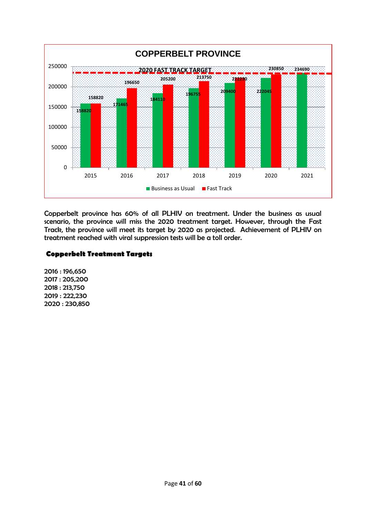

Copperbelt province has 60% of all PLHIV on treatment. Under the business as usual scenario, the province will miss the 2020 treatment target. However, through the Fast Track, the province will meet its target by 2020 as projected. Achievement of PLHIV on treatment reached with viral suppression tests will be a toll order.

#### **Copperbelt Treatment Targets**

2016 : 196,650 2017 : 205,200 2018 : 213,750 2019 : 222,230 2020 : 230,850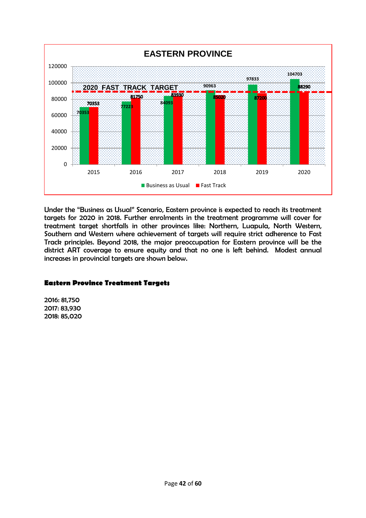

Under the "Business as Usual" Scenario, Eastern province is expected to reach its treatment targets for 2020 in 2018. Further enrolments in the treatment programme will cover for treatment target shortfalls in other provinces like: Northern, Luapula, North Western, Southern and Western where achievement of targets will require strict adherence to Fast Track principles. Beyond 2018, the major preoccupation for Eastern province will be the district ART coverage to ensure equity and that no one is left behind. Modest annual increases in provincial targets are shown below.

#### **Eastern Province Treatment Targets**

2016: 81,750 2017: 83,930 2018: 85,020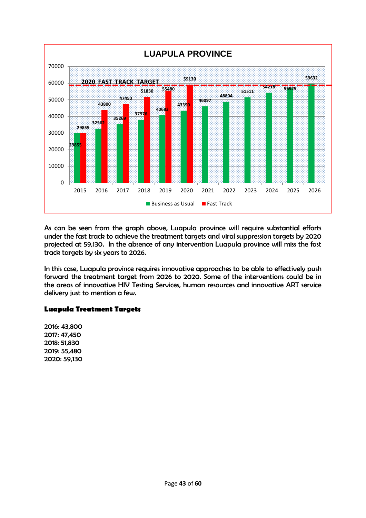

As can be seen from the graph above, Luapula province will require substantial efforts under the fast track to achieve the treatment targets and viral suppression targets by 2020 projected at 59,130. In the absence of any intervention Luapula province will miss the fast track targets by six years to 2026.

In this case, Luapula province requires innovative approaches to be able to effectively push forward the treatment target from 2026 to 2020. Some of the interventions could be in the areas of innovative HIV Testing Services, human resources and innovative ART service delivery just to mention a few.

#### **Luapula Treatment Targets**

2016: 43,800 2017: 47,450 2018: 51,830 2019: 55,480 2020: 59,130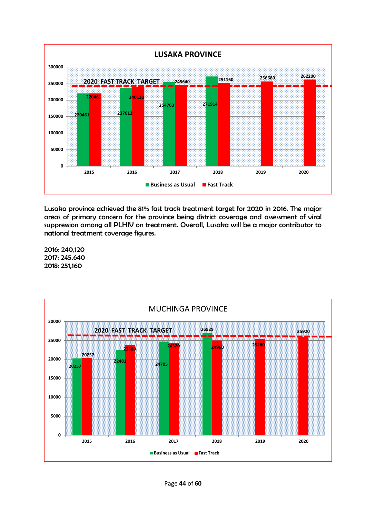

Lusaka province achieved the 81% fast track treatment target for 2020 in 2016. The major areas of primary concern for the province being district coverage and assessment of viral suppression among all PLHIV on treatment. Overall, Lusaka will be a major contributor to national treatment coverage figures.

2016: 240,120 2017: 245,640 2018: 251,160

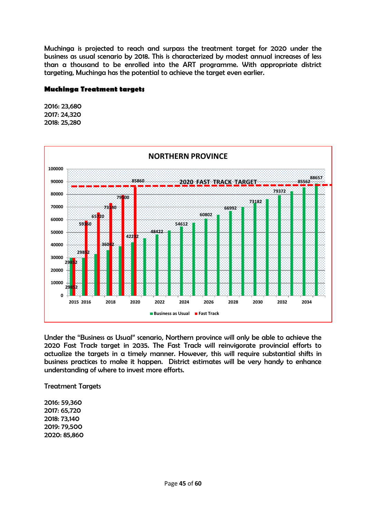Muchinga is projected to reach and surpass the treatment target for 2020 under the business as usual scenario by 2018. This is characterized by modest annual increases of less than a thousand to be enrolled into the ART programme. With appropriate district targeting, Muchinga has the potential to achieve the target even earlier.

#### **Muchinga Treatment targets**

2016: 23,680 2017: 24,320 2018: 25,280



Under the "Business as Usual" scenario, Northern province will only be able to achieve the 2020 Fast Track target in 2035. The Fast Track will reinvigorate provincial efforts to actualize the targets in a timely manner. However, this will require substantial shifts in business practices to make it happen. District estimates will be very handy to enhance understanding of where to invest more efforts.

Treatment Targets

2016: 59,360 2017: 65,720 2018: 73,140 2019: 79,500 2020: 85,860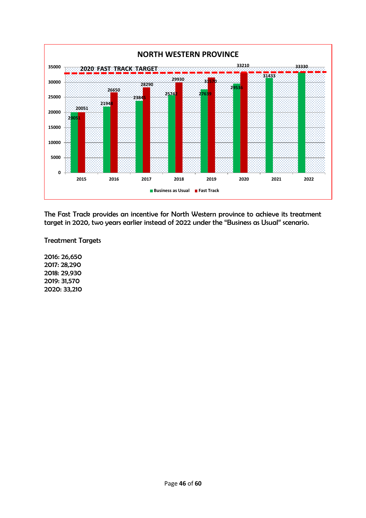

The Fast Track provides an incentive for North Western province to achieve its treatment target in 2020, two years earlier instead of 2022 under the "Business as Usual" scenario.

Treatment Targets

2016: 26,650 2017: 28,290 2018: 29,930 2019: 31,570 2020: 33,210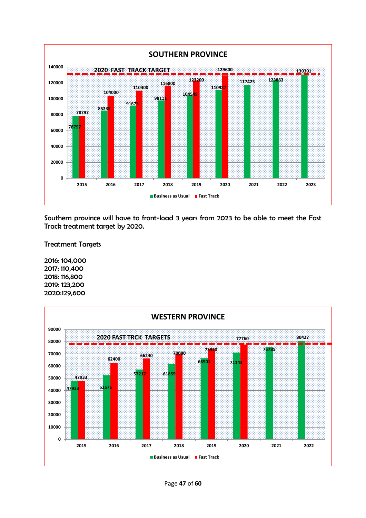

Southern province will have to front-load 3 years from 2023 to be able to meet the Fast Track treatment target by 2020.

Treatment Targets

2016: 104,000 2017: 110,400 2018: 116,800 2019: 123,200 2020:129,600

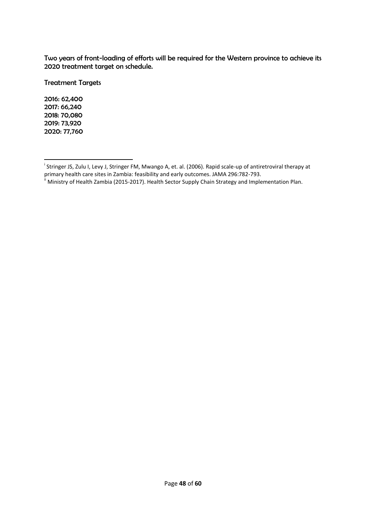Two years of front-loading of efforts will be required for the Western province to achieve its 2020 treatment target on schedule.

Treatment Targets

2016: 62,400 2017: 66,240 2018: 70,080 2019: 73,920 2020: 77,760

**.** 

<sup>&</sup>lt;sup>i</sup> Stringer JS, Zulu I, Levy J, Stringer FM, Mwango A, et. al. (2006). Rapid scale-up of antiretroviral therapy at primary health care sites in Zambia: feasibility and early outcomes. JAMA 296:782-793.

<sup>&</sup>lt;sup>ii</sup> Ministry of Health Zambia (2015-2017). Health Sector Supply Chain Strategy and Implementation Plan.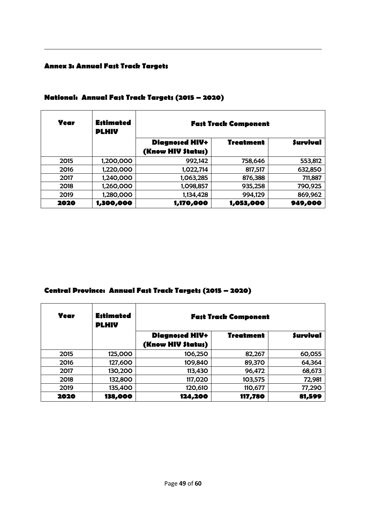#### **Annex 3: Annual Fast Track Targets**

1

| Year | <b>Estimated</b><br><b>PLHIV</b> | <b>Fast Track Component</b> |                  |                 |  |
|------|----------------------------------|-----------------------------|------------------|-----------------|--|
|      |                                  | <b>Diagnosed HIV+</b>       | <b>Treatment</b> | <b>Survival</b> |  |
|      |                                  | (Know HIV \$tatu\$)         |                  |                 |  |
| 2015 | 1,200,000                        | 992,142                     | 758,646          | 553,812         |  |
| 2016 | 1,220,000                        | 1,022,714                   | 817,517          | 632,850         |  |
| 2017 | 1,240,000                        | 1,063,285                   | 876,388          | 711,887         |  |
| 2018 | 1,260,000                        | 1,098,857                   | 935,258          | 790,925         |  |
| 2019 | 1,280,000                        | 1,134,428                   | 994,129          | 869,962         |  |
| 2020 | 1,300,000                        | 1,170,000                   | 1,053,000        | 949,000         |  |

#### **National: Annual Fast Track Targets (2015 – 2020)**

# **Central Province: Annual Fast Track Targets (2015 – 2020)**

| Year | <b>Estimated</b><br><b>PLHIV</b> | <b>Fast Track Component</b>                  |                  |                 |  |
|------|----------------------------------|----------------------------------------------|------------------|-----------------|--|
|      |                                  | <b>Diagnosed HIV+</b><br>(Know HIV \$tatu\$) | <b>Treatment</b> | <b>Survival</b> |  |
| 2015 | 125,000                          | 106,250                                      | 82,267           | 60,055          |  |
| 2016 | 127,600                          | 109,840                                      | 89,370           | 64,364          |  |
| 2017 | 130,200                          | 113,430                                      | 96,472           | 68,673          |  |
| 2018 | 132,800                          | 117,020                                      | 103,575          | 72,981          |  |
| 2019 | 135,400                          | 120,610                                      | 110,677          | 77,290          |  |
| 2020 | 138,000                          | 124,200                                      | 117,780          | 81,599          |  |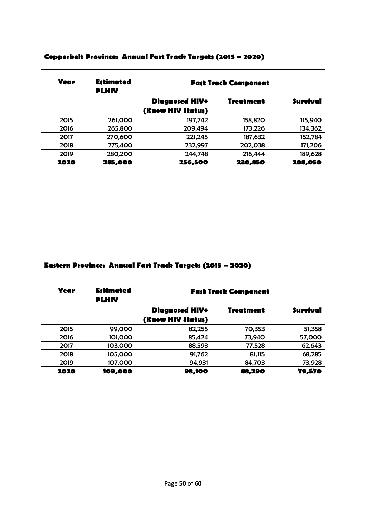| Year | <b>Estimated</b><br><b>PLHIV</b> | <b>Fast Track Component</b> |                  |                 |  |
|------|----------------------------------|-----------------------------|------------------|-----------------|--|
|      |                                  | <b>Diagnosed HIV+</b>       | <b>Treatment</b> | <b>Survival</b> |  |
|      |                                  | (Know HIV \$tatu\$)         |                  |                 |  |
| 2015 | 261,000                          | 197,742                     | 158,820          | 115,940         |  |
| 2016 | 265,800                          | 209,494                     | 173,226          | 134,362         |  |
| 2017 | 270,600                          | 221,245                     | 187,632          | 152,784         |  |
| 2018 | 275,400                          | 232,997                     | 202,038          | 171,206         |  |
| 2019 | 280,200                          | 244,748                     | 216,444          | 189,628         |  |
| 2020 | 285,000                          | 256,500                     | 230,850          | 208,050         |  |

#### 1 **Copperbelt Province: Annual Fast Track Targets (2015 – 2020)**

#### **Eastern Province: Annual Fast Track Targets (2015 – 2020)**

| Year | <b>Estimated</b><br><b>PLHIV</b> | <b>Fast Track Component</b>                                  |        |        |  |
|------|----------------------------------|--------------------------------------------------------------|--------|--------|--|
|      |                                  | <b>Survival</b><br><b>Diagnosed HIV+</b><br><b>Treatment</b> |        |        |  |
|      |                                  | (Know HIV \$tatu\$)                                          |        |        |  |
| 2015 | 99,000                           | 82,255                                                       | 70,353 | 51,358 |  |
| 2016 | 101,000                          | 85,424                                                       | 73,940 | 57,000 |  |
| 2017 | 103,000                          | 88,593                                                       | 77,528 | 62,643 |  |
| 2018 | 105,000                          | 91,762                                                       | 81,115 | 68,285 |  |
| 2019 | 107,000                          | 94,931                                                       | 84,703 | 73,928 |  |
| 2020 | 109,000                          | 98,100                                                       | 88,290 | 79,570 |  |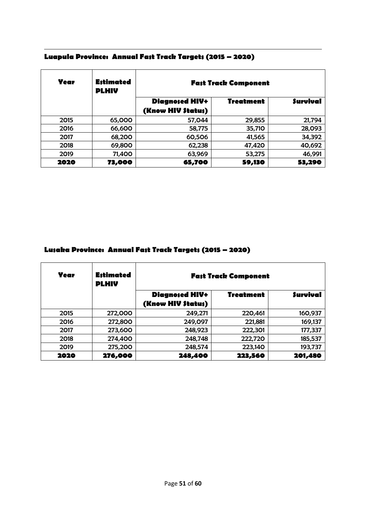| Year | <b>Estimated</b><br><b>PLHIV</b> | <b>Fast Track Component</b> |                  |                 |
|------|----------------------------------|-----------------------------|------------------|-----------------|
|      |                                  | <b>Diagnosed HIV+</b>       | <b>Treatment</b> | <b>Survival</b> |
|      |                                  | (Know HIV \$tatu\$)         |                  |                 |
| 2015 | 65,000                           | 57,044                      | 29,855           | 21,794          |
| 2016 | 66,600                           | 58,775                      | 35,710           | 28,093          |
| 2017 | 68,200                           | 60,506                      | 41,565           | 34,392          |
| 2018 | 69,800                           | 62,238                      | 47,420           | 40,692          |
| 2019 | 71,400                           | 63,969                      | 53,275           | 46,991          |
| 2020 | 73,000                           | 65,700                      | 59,130           | 53,290          |

#### 1 **Luapula Province: Annual Fast Track Targets (2015 – 2020)**

# **Lusaka Province: Annual Fast Track Targets (2015 – 2020)**

| Year | <b>Estimated</b><br><b>PLHIV</b> | <b>Fast Track Component</b> |                  |                 |
|------|----------------------------------|-----------------------------|------------------|-----------------|
|      |                                  | <b>Diagnosed HIV+</b>       | <b>Treatment</b> | <b>Survival</b> |
|      |                                  | (Know HIV \$tatu\$)         |                  |                 |
| 2015 | 272,000                          | 249,271                     | 220,461          | 160,937         |
| 2016 | 272,800                          | 249,097                     | 221,881          | 169,137         |
| 2017 | 273,600                          | 248,923                     | 222,301          | 177,337         |
| 2018 | 274,400                          | 248,748                     | 222,720          | 185,537         |
| 2019 | 275,200                          | 248,574                     | 223,140          | 193,737         |
| 2020 | 276,000                          | 248,400                     | 223,560          | 201,480         |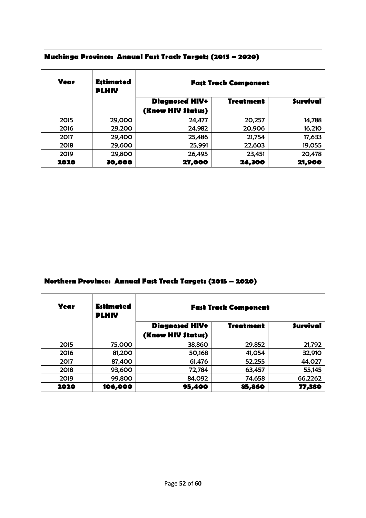| Year | <b>Estimated</b><br><b>PLHIV</b> | <b>Fast Track Component</b> |                  |                 |
|------|----------------------------------|-----------------------------|------------------|-----------------|
|      |                                  | <b>Diagnosed HIV+</b>       | <b>Treatment</b> | <b>Survival</b> |
|      |                                  | (Know HIV \$tatu\$)         |                  |                 |
| 2015 | 29,000                           | 24,477                      | 20,257           | 14,788          |
| 2016 | 29,200                           | 24,982                      | 20,906           | 16,210          |
| 2017 | 29,400                           | 25,486                      | 21,754           | 17,633          |
| 2018 | 29,600                           | 25,991                      | 22,603           | 19,055          |
| 2019 | 29,800                           | 26,495                      | 23,451           | 20,478          |
| 2020 | 30,000                           | 27,000                      | 24,300           | 21,900          |

#### 1 **Muchinga Province: Annual Fast Track Targets (2015 – 2020)**

#### **Northern Province: Annual Fast Track Targets (2015 – 2020)**

| Year | <b>Estimated</b><br><b>PLHIV</b> | <b>Fast Track Component</b> |                  |                 |
|------|----------------------------------|-----------------------------|------------------|-----------------|
|      |                                  | <b>Diagnosed HIV+</b>       | <b>Treatment</b> | <b>Survival</b> |
|      |                                  | (Know HIV \$tatu\$)         |                  |                 |
| 2015 | 75,000                           | 38,860                      | 29,852           | 21,792          |
| 2016 | 81,200                           | 50,168                      | 41,054           | 32,910          |
| 2017 | 87,400                           | 61,476                      | 52,255           | 44,027          |
| 2018 | 93,600                           | 72,784                      | 63,457           | 55,145          |
| 2019 | 99,800                           | 84,092                      | 74,658           | 66,2262         |
| 2020 | 106,000                          | 95,400                      | 85,860           | 77,380          |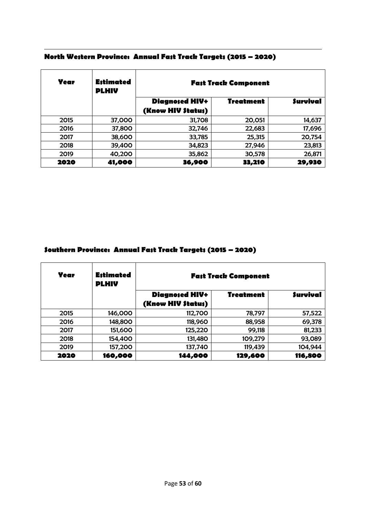| Year | <b>Estimated</b><br><b>PLHIV</b> | <b>Fast Track Component</b> |           |                 |
|------|----------------------------------|-----------------------------|-----------|-----------------|
|      |                                  | <b>Diagnosed HIV+</b>       | Treatment | <b>Survival</b> |
|      |                                  | (Know HIV \$tatu\$)         |           |                 |
| 2015 | 37,000                           | 31,708                      | 20,051    | 14,637          |
| 2016 | 37,800                           | 32,746                      | 22,683    | 17,696          |
| 2017 | 38,600                           | 33,785                      | 25,315    | 20,754          |
| 2018 | 39,400                           | 34,823                      | 27,946    | 23,813          |
| 2019 | 40,200                           | 35,862                      | 30,578    | 26,871          |
| 2020 | 41,000                           | 36,900                      | 33,210    | 29,930          |

#### 1 **North Western Province: Annual Fast Track Targets (2015 – 2020)**

# **Southern Province: Annual Fast Track Targets (2015 – 2020)**

| Year | <b>Estimated</b><br><b>PLHIV</b> | <b>Fast Track Component</b> |                  |                 |
|------|----------------------------------|-----------------------------|------------------|-----------------|
|      |                                  | <b>Diagnosed HIV+</b>       | <b>Treatment</b> | <b>Survival</b> |
|      |                                  | (Know HIV \$tatu\$)         |                  |                 |
| 2015 | 146,000                          | 112,700                     | 78,797           | 57,522          |
| 2016 | 148,800                          | 118,960                     | 88,958           | 69,378          |
| 2017 | 151,600                          | 125,220                     | 99,118           | 81,233          |
| 2018 | 154,400                          | 131,480                     | 109,279          | 93,089          |
| 2019 | 157,200                          | 137,740                     | 119,439          | 104,944         |
| 2020 | 160,000                          | 144,000                     | 129,600          | 116,800         |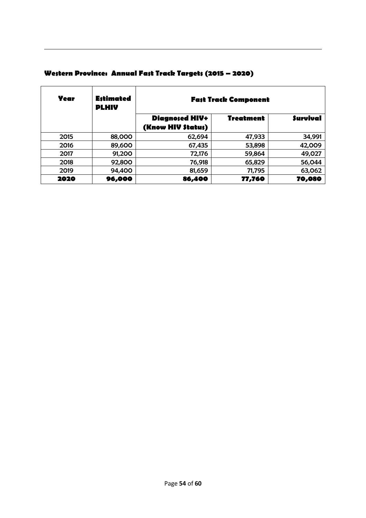| Year | <b>Estimated</b><br><b>PLHIV</b> | <b>Fast Track Component</b>                  |                  |                 |
|------|----------------------------------|----------------------------------------------|------------------|-----------------|
|      |                                  | <b>Diagnosed HIV+</b><br>(Know HIV \$tatu\$) | <b>Treatment</b> | <b>Survival</b> |
| 2015 | 88,000                           | 62,694                                       | 47,933           | 34,991          |
| 2016 | 89,600                           | 67,435                                       | 53,898           | 42,009          |
| 2017 | 91,200                           | 72,176                                       | 59,864           | 49,027          |
| 2018 | 92,800                           | 76,918                                       | 65,829           | 56,044          |
| 2019 | 94,400                           | 81,659                                       | 71,795           | 63,062          |
| 2020 | 96,000                           | 86,400                                       | 77,760           | 70,080          |

# **Western Province: Annual Fast Track Targets (2015 – 2020)**

1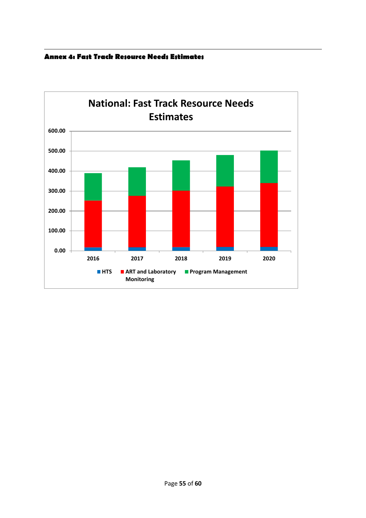

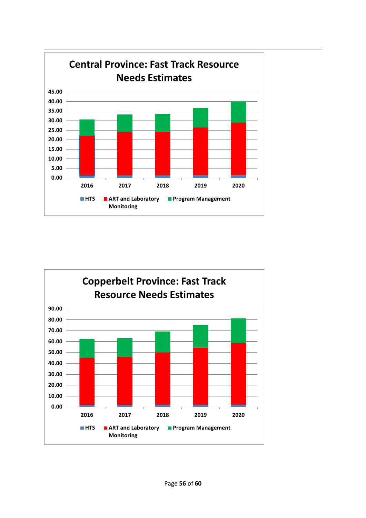

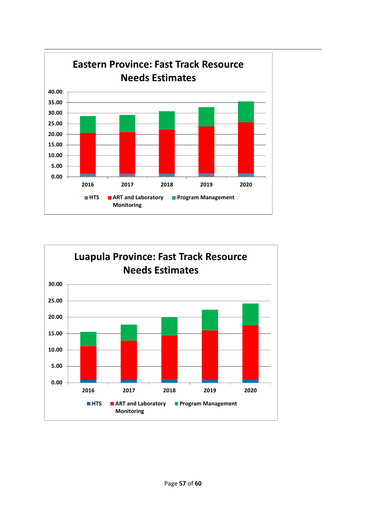

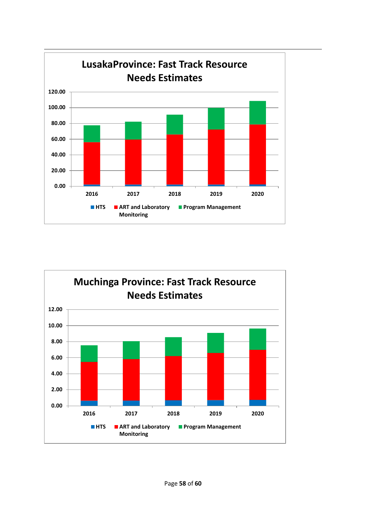

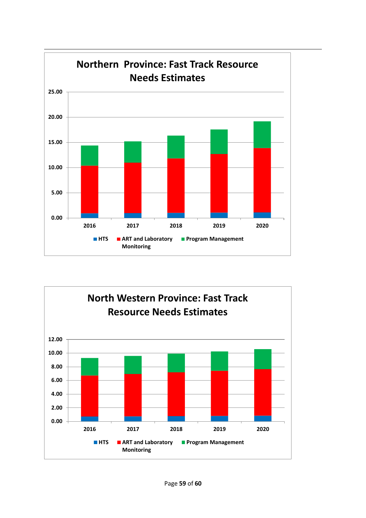